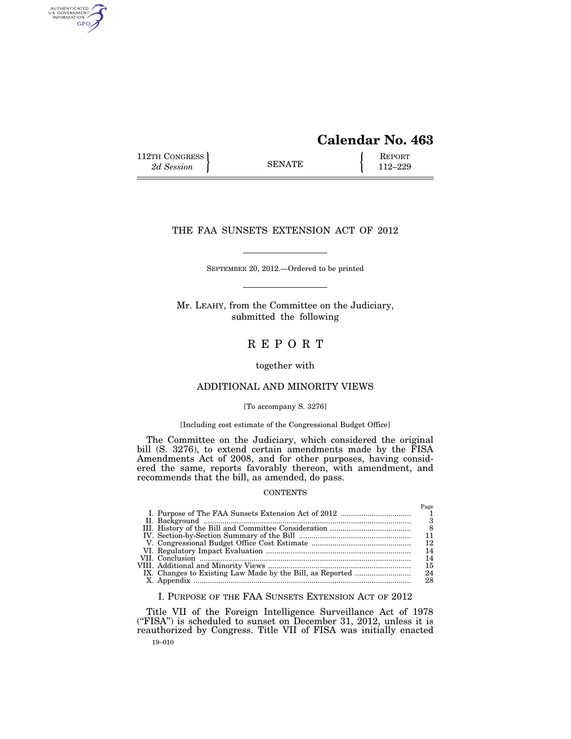# **Calendar No. 463**

112TH CONGRESS **REPORT** 2d Session **112–229** 

AUTHENTICATED<br>U.S. GOVERNMENT<br>INFORMATION **GPO** 

# THE FAA SUNSETS EXTENSION ACT OF 2012

SEPTEMBER 20, 2012.—Ordered to be printed

Mr. LEAHY, from the Committee on the Judiciary, submitted the following

R E P O R T

# together with

# ADDITIONAL AND MINORITY VIEWS

## [To accompany S. 3276]

# [Including cost estimate of the Congressional Budget Office]

The Committee on the Judiciary, which considered the original bill (S. 3276), to extend certain amendments made by the FISA Amendments Act of 2008, and for other purposes, having considered the same, reports favorably thereon, with amendment, and recommends that the bill, as amended, do pass.

## **CONTENTS**

|  | Page<br>R<br>12<br>14<br>14<br>15 |
|--|-----------------------------------|
|  |                                   |
|  | 24<br>28                          |

# I. PURPOSE OF THE FAA SUNSETS EXTENSION ACT OF 2012

19–010 Title VII of the Foreign Intelligence Surveillance Act of 1978 (''FISA'') is scheduled to sunset on December 31, 2012, unless it is reauthorized by Congress. Title VII of FISA was initially enacted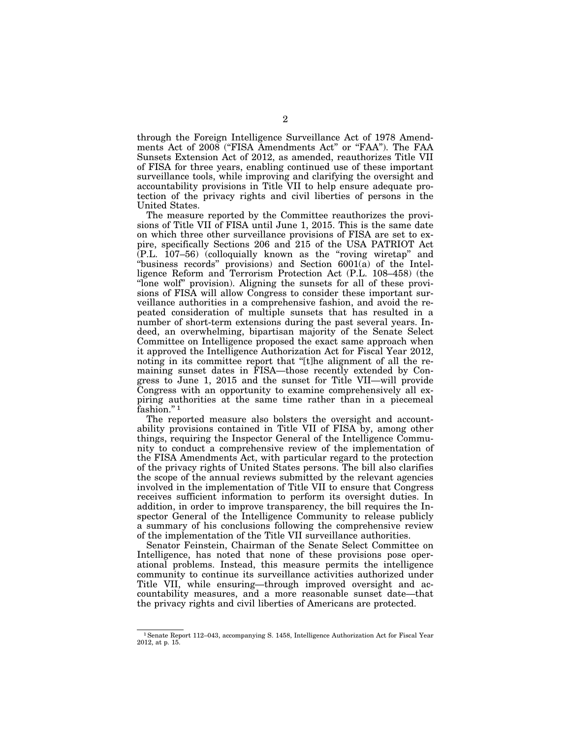through the Foreign Intelligence Surveillance Act of 1978 Amendments Act of 2008 ("FISA Amendments Act" or "FAA"). The FAA Sunsets Extension Act of 2012, as amended, reauthorizes Title VII of FISA for three years, enabling continued use of these important surveillance tools, while improving and clarifying the oversight and accountability provisions in Title VII to help ensure adequate protection of the privacy rights and civil liberties of persons in the United States.

The measure reported by the Committee reauthorizes the provisions of Title VII of FISA until June 1, 2015. This is the same date on which three other surveillance provisions of FISA are set to expire, specifically Sections 206 and 215 of the USA PATRIOT Act (P.L. 107–56) (colloquially known as the ''roving wiretap'' and "business records" provisions) and Section 6001(a) of the Intelligence Reform and Terrorism Protection Act (P.L. 108–458) (the ''lone wolf'' provision). Aligning the sunsets for all of these provisions of FISA will allow Congress to consider these important surveillance authorities in a comprehensive fashion, and avoid the repeated consideration of multiple sunsets that has resulted in a number of short-term extensions during the past several years. Indeed, an overwhelming, bipartisan majority of the Senate Select Committee on Intelligence proposed the exact same approach when it approved the Intelligence Authorization Act for Fiscal Year 2012, noting in its committee report that "[t]he alignment of all the remaining sunset dates in FISA—those recently extended by Congress to June 1, 2015 and the sunset for Title VII—will provide Congress with an opportunity to examine comprehensively all expiring authorities at the same time rather than in a piecemeal fashion."<sup>1</sup>

The reported measure also bolsters the oversight and accountability provisions contained in Title VII of FISA by, among other things, requiring the Inspector General of the Intelligence Community to conduct a comprehensive review of the implementation of the FISA Amendments Act, with particular regard to the protection of the privacy rights of United States persons. The bill also clarifies the scope of the annual reviews submitted by the relevant agencies involved in the implementation of Title VII to ensure that Congress receives sufficient information to perform its oversight duties. In addition, in order to improve transparency, the bill requires the Inspector General of the Intelligence Community to release publicly a summary of his conclusions following the comprehensive review of the implementation of the Title VII surveillance authorities.

Senator Feinstein, Chairman of the Senate Select Committee on Intelligence, has noted that none of these provisions pose operational problems. Instead, this measure permits the intelligence community to continue its surveillance activities authorized under Title VII, while ensuring—through improved oversight and accountability measures, and a more reasonable sunset date—that the privacy rights and civil liberties of Americans are protected.

<sup>1</sup>Senate Report 112–043, accompanying S. 1458, Intelligence Authorization Act for Fiscal Year 2012, at p. 15.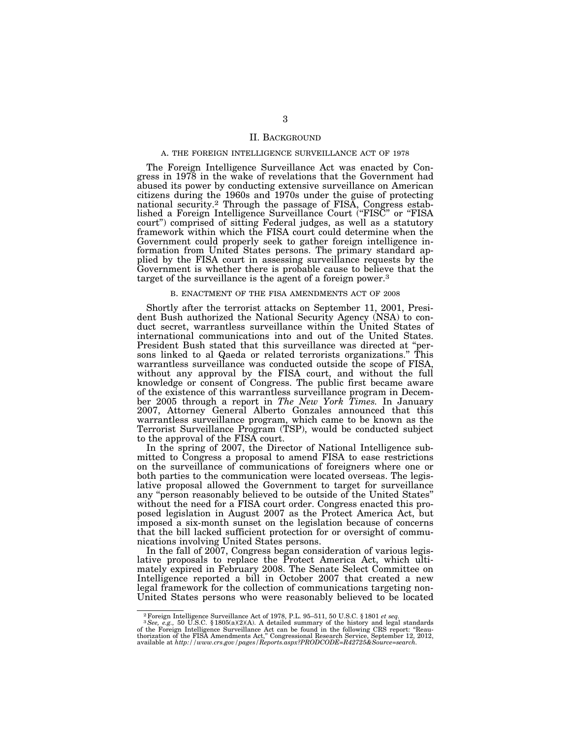## II. BACKGROUND

## A. THE FOREIGN INTELLIGENCE SURVEILLANCE ACT OF 1978

The Foreign Intelligence Surveillance Act was enacted by Congress in 1978 in the wake of revelations that the Government had abused its power by conducting extensive surveillance on American citizens during the 1960s and 1970s under the guise of protecting national security.2 Through the passage of FISA, Congress established a Foreign Intelligence Surveillance Court (''FISC'' or ''FISA court'') comprised of sitting Federal judges, as well as a statutory framework within which the FISA court could determine when the Government could properly seek to gather foreign intelligence information from United States persons. The primary standard applied by the FISA court in assessing surveillance requests by the Government is whether there is probable cause to believe that the target of the surveillance is the agent of a foreign power.3

## B. ENACTMENT OF THE FISA AMENDMENTS ACT OF 2008

Shortly after the terrorist attacks on September 11, 2001, President Bush authorized the National Security Agency (NSA) to conduct secret, warrantless surveillance within the United States of international communications into and out of the United States. President Bush stated that this surveillance was directed at ''persons linked to al Qaeda or related terrorists organizations.'' This warrantless surveillance was conducted outside the scope of FISA, without any approval by the FISA court, and without the full knowledge or consent of Congress. The public first became aware of the existence of this warrantless surveillance program in December 2005 through a report in *The New York Times.* In January 2007, Attorney General Alberto Gonzales announced that this warrantless surveillance program, which came to be known as the Terrorist Surveillance Program (TSP), would be conducted subject to the approval of the FISA court.

In the spring of 2007, the Director of National Intelligence submitted to Congress a proposal to amend FISA to ease restrictions on the surveillance of communications of foreigners where one or both parties to the communication were located overseas. The legislative proposal allowed the Government to target for surveillance any ''person reasonably believed to be outside of the United States'' without the need for a FISA court order. Congress enacted this proposed legislation in August 2007 as the Protect America Act, but imposed a six-month sunset on the legislation because of concerns that the bill lacked sufficient protection for or oversight of communications involving United States persons.

In the fall of 2007, Congress began consideration of various legislative proposals to replace the Protect America Act, which ultimately expired in February 2008. The Senate Select Committee on Intelligence reported a bill in October 2007 that created a new legal framework for the collection of communications targeting non-United States persons who were reasonably believed to be located

<sup>2</sup>Foreign Intelligence Surveillance Act of 1978, P.L. 95–511, 50 U.S.C. § 1801 *et seq.* 3*See, e.g.,* 50 U.S.C. § 1805(a)(2)(A). A detailed summary of the history and legal standards of the Foreign Intelligence Surveillance Act can be found in the following CRS report: "Reau-<br>thorization of the FISA Amendments Act," Congressional Research Service, September 12, 2012,<br>available at *http://www.crs.gov/pa*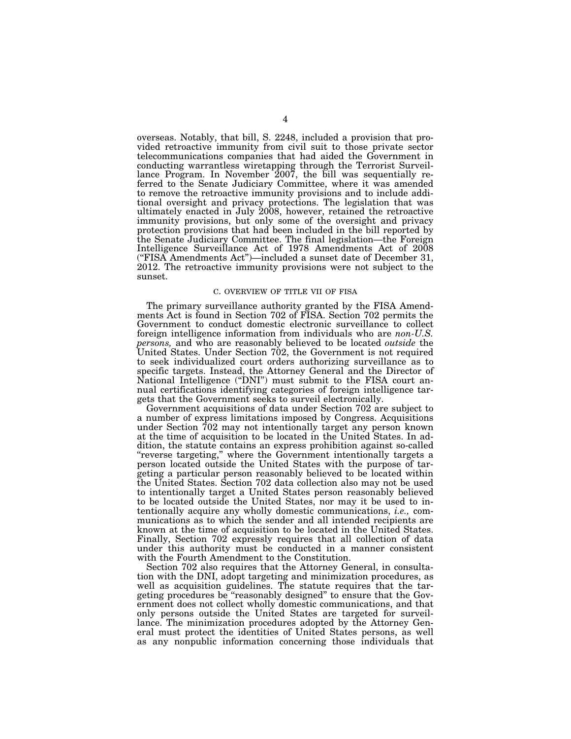overseas. Notably, that bill, S. 2248, included a provision that provided retroactive immunity from civil suit to those private sector telecommunications companies that had aided the Government in conducting warrantless wiretapping through the Terrorist Surveillance Program. In November 2007, the bill was sequentially referred to the Senate Judiciary Committee, where it was amended to remove the retroactive immunity provisions and to include additional oversight and privacy protections. The legislation that was ultimately enacted in July 2008, however, retained the retroactive immunity provisions, but only some of the oversight and privacy protection provisions that had been included in the bill reported by the Senate Judiciary Committee. The final legislation—the Foreign Intelligence Surveillance Act of 1978 Amendments Act of 2008 (''FISA Amendments Act'')—included a sunset date of December 31, 2012. The retroactive immunity provisions were not subject to the sunset.

## C. OVERVIEW OF TITLE VII OF FISA

The primary surveillance authority granted by the FISA Amendments Act is found in Section 702 of FISA. Section 702 permits the Government to conduct domestic electronic surveillance to collect foreign intelligence information from individuals who are *non-U.S. persons,* and who are reasonably believed to be located *outside* the United States. Under Section 702, the Government is not required to seek individualized court orders authorizing surveillance as to specific targets. Instead, the Attorney General and the Director of National Intelligence ("DNI") must submit to the FISA court annual certifications identifying categories of foreign intelligence targets that the Government seeks to surveil electronically.

Government acquisitions of data under Section 702 are subject to a number of express limitations imposed by Congress. Acquisitions under Section 702 may not intentionally target any person known at the time of acquisition to be located in the United States. In addition, the statute contains an express prohibition against so-called ''reverse targeting,'' where the Government intentionally targets a person located outside the United States with the purpose of targeting a particular person reasonably believed to be located within the United States. Section 702 data collection also may not be used to intentionally target a United States person reasonably believed to be located outside the United States, nor may it be used to intentionally acquire any wholly domestic communications, *i.e.,* communications as to which the sender and all intended recipients are known at the time of acquisition to be located in the United States. Finally, Section 702 expressly requires that all collection of data under this authority must be conducted in a manner consistent with the Fourth Amendment to the Constitution.

Section 702 also requires that the Attorney General, in consultation with the DNI, adopt targeting and minimization procedures, as well as acquisition guidelines. The statute requires that the targeting procedures be ''reasonably designed'' to ensure that the Government does not collect wholly domestic communications, and that only persons outside the United States are targeted for surveillance. The minimization procedures adopted by the Attorney General must protect the identities of United States persons, as well as any nonpublic information concerning those individuals that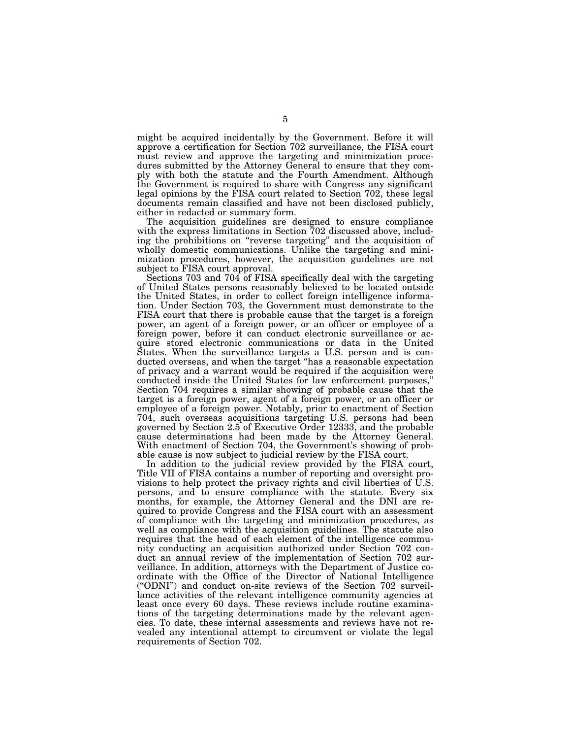might be acquired incidentally by the Government. Before it will approve a certification for Section 702 surveillance, the FISA court must review and approve the targeting and minimization procedures submitted by the Attorney General to ensure that they comply with both the statute and the Fourth Amendment. Although the Government is required to share with Congress any significant legal opinions by the FISA court related to Section 702, these legal documents remain classified and have not been disclosed publicly, either in redacted or summary form.

The acquisition guidelines are designed to ensure compliance with the express limitations in Section 702 discussed above, including the prohibitions on ''reverse targeting'' and the acquisition of wholly domestic communications. Unlike the targeting and minimization procedures, however, the acquisition guidelines are not subject to FISA court approval.

Sections 703 and 704 of FISA specifically deal with the targeting of United States persons reasonably believed to be located outside the United States, in order to collect foreign intelligence information. Under Section 703, the Government must demonstrate to the FISA court that there is probable cause that the target is a foreign power, an agent of a foreign power, or an officer or employee of a foreign power, before it can conduct electronic surveillance or acquire stored electronic communications or data in the United States. When the surveillance targets a U.S. person and is conducted overseas, and when the target ''has a reasonable expectation of privacy and a warrant would be required if the acquisition were conducted inside the United States for law enforcement purposes,'' Section 704 requires a similar showing of probable cause that the target is a foreign power, agent of a foreign power, or an officer or employee of a foreign power. Notably, prior to enactment of Section 704, such overseas acquisitions targeting U.S. persons had been governed by Section 2.5 of Executive Order 12333, and the probable cause determinations had been made by the Attorney General. With enactment of Section 704, the Government's showing of probable cause is now subject to judicial review by the FISA court.

In addition to the judicial review provided by the FISA court, Title VII of FISA contains a number of reporting and oversight provisions to help protect the privacy rights and civil liberties of U.S. persons, and to ensure compliance with the statute. Every six months, for example, the Attorney General and the DNI are required to provide Congress and the FISA court with an assessment of compliance with the targeting and minimization procedures, as well as compliance with the acquisition guidelines. The statute also requires that the head of each element of the intelligence community conducting an acquisition authorized under Section 702 conduct an annual review of the implementation of Section 702 surveillance. In addition, attorneys with the Department of Justice coordinate with the Office of the Director of National Intelligence (''ODNI'') and conduct on-site reviews of the Section 702 surveillance activities of the relevant intelligence community agencies at least once every 60 days. These reviews include routine examinations of the targeting determinations made by the relevant agencies. To date, these internal assessments and reviews have not revealed any intentional attempt to circumvent or violate the legal requirements of Section 702.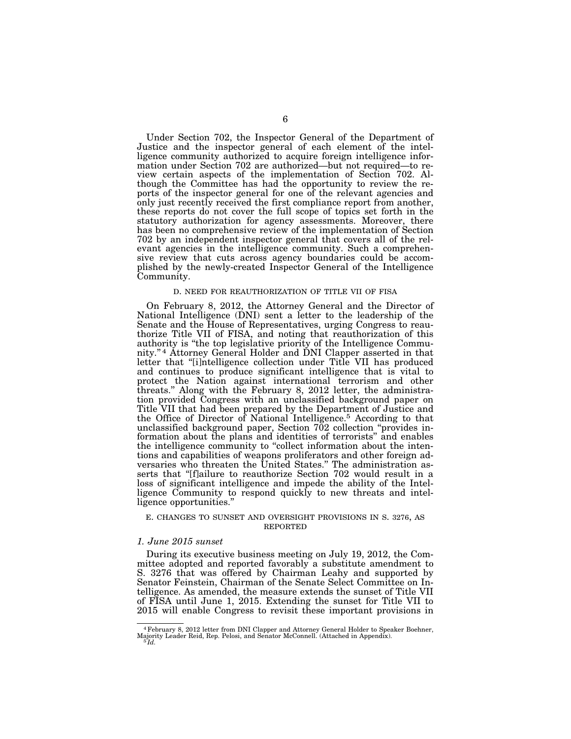Under Section 702, the Inspector General of the Department of Justice and the inspector general of each element of the intelligence community authorized to acquire foreign intelligence information under Section 702 are authorized—but not required—to review certain aspects of the implementation of Section 702. Although the Committee has had the opportunity to review the reports of the inspector general for one of the relevant agencies and only just recently received the first compliance report from another, these reports do not cover the full scope of topics set forth in the statutory authorization for agency assessments. Moreover, there has been no comprehensive review of the implementation of Section 702 by an independent inspector general that covers all of the relevant agencies in the intelligence community. Such a comprehensive review that cuts across agency boundaries could be accomplished by the newly-created Inspector General of the Intelligence Community.

#### D. NEED FOR REAUTHORIZATION OF TITLE VII OF FISA

On February 8, 2012, the Attorney General and the Director of National Intelligence (DNI) sent a letter to the leadership of the Senate and the House of Representatives, urging Congress to reauthorize Title VII of FISA, and noting that reauthorization of this authority is ''the top legislative priority of the Intelligence Community.'' 4 Attorney General Holder and DNI Clapper asserted in that letter that "[i]ntelligence collection under Title VII has produced and continues to produce significant intelligence that is vital to protect the Nation against international terrorism and other threats.'' Along with the February 8, 2012 letter, the administration provided Congress with an unclassified background paper on Title VII that had been prepared by the Department of Justice and the Office of Director of National Intelligence.5 According to that unclassified background paper, Section 702 collection ''provides information about the plans and identities of terrorists'' and enables the intelligence community to ''collect information about the intentions and capabilities of weapons proliferators and other foreign adversaries who threaten the United States.'' The administration asserts that ''[f]ailure to reauthorize Section 702 would result in a loss of significant intelligence and impede the ability of the Intelligence Community to respond quickly to new threats and intelligence opportunities.''

#### E. CHANGES TO SUNSET AND OVERSIGHT PROVISIONS IN S. 3276, AS REPORTED

#### *1. June 2015 sunset*

During its executive business meeting on July 19, 2012, the Committee adopted and reported favorably a substitute amendment to S. 3276 that was offered by Chairman Leahy and supported by Senator Feinstein, Chairman of the Senate Select Committee on Intelligence. As amended, the measure extends the sunset of Title VII of FISA until June 1, 2015. Extending the sunset for Title VII to 2015 will enable Congress to revisit these important provisions in

<sup>4</sup>February 8, 2012 letter from DNI Clapper and Attorney General Holder to Speaker Boehner, Majority Leader Reid, Rep. Pelosi, and Senator McConnell. (Attached in Appendix). 5 *Id.*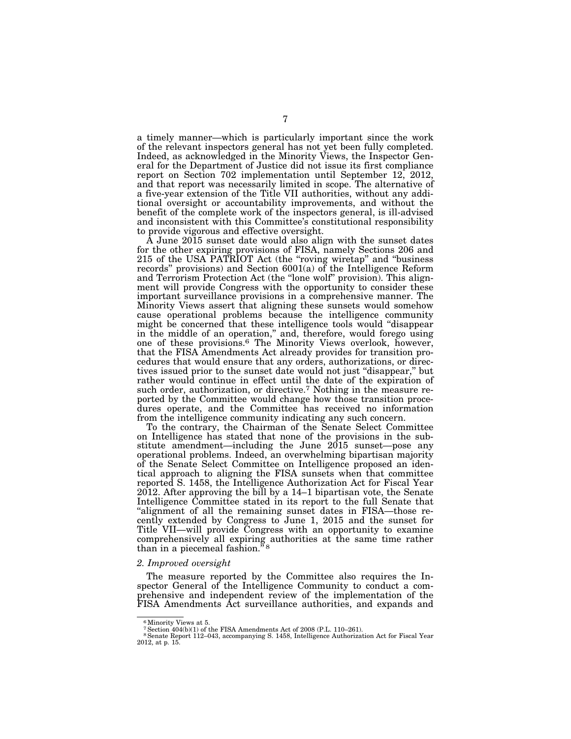a timely manner—which is particularly important since the work of the relevant inspectors general has not yet been fully completed. Indeed, as acknowledged in the Minority Views, the Inspector General for the Department of Justice did not issue its first compliance report on Section 702 implementation until September 12, 2012, and that report was necessarily limited in scope. The alternative of a five-year extension of the Title VII authorities, without any additional oversight or accountability improvements, and without the benefit of the complete work of the inspectors general, is ill-advised and inconsistent with this Committee's constitutional responsibility to provide vigorous and effective oversight.

A June 2015 sunset date would also align with the sunset dates for the other expiring provisions of FISA, namely Sections 206 and 215 of the USA PATRIOT Act (the ''roving wiretap'' and ''business records" provisions) and Section  $6001(a)$  of the Intelligence Reform and Terrorism Protection Act (the "lone wolf" provision). This alignment will provide Congress with the opportunity to consider these important surveillance provisions in a comprehensive manner. The Minority Views assert that aligning these sunsets would somehow cause operational problems because the intelligence community might be concerned that these intelligence tools would ''disappear in the middle of an operation,'' and, therefore, would forego using one of these provisions.6 The Minority Views overlook, however, that the FISA Amendments Act already provides for transition procedures that would ensure that any orders, authorizations, or directives issued prior to the sunset date would not just ''disappear,'' but rather would continue in effect until the date of the expiration of such order, authorization, or directive.<sup>7</sup> Nothing in the measure reported by the Committee would change how those transition procedures operate, and the Committee has received no information from the intelligence community indicating any such concern.

To the contrary, the Chairman of the Senate Select Committee on Intelligence has stated that none of the provisions in the substitute amendment—including the June 2015 sunset—pose any operational problems. Indeed, an overwhelming bipartisan majority of the Senate Select Committee on Intelligence proposed an identical approach to aligning the FISA sunsets when that committee reported S. 1458, the Intelligence Authorization Act for Fiscal Year 2012. After approving the bill by a 14–1 bipartisan vote, the Senate Intelligence Committee stated in its report to the full Senate that "alignment of all the remaining sunset dates in FISA—those recently extended by Congress to June 1, 2015 and the sunset for Title VII—will provide Congress with an opportunity to examine comprehensively all expiring authorities at the same time rather than in a piecemeal fashion."<sup>8</sup>

## *2. Improved oversight*

The measure reported by the Committee also requires the Inspector General of the Intelligence Community to conduct a comprehensive and independent review of the implementation of the FISA Amendments Act surveillance authorities, and expands and

<sup>&</sup>lt;sup>6</sup> Minority Views at 5.

<sup>7</sup>Section 404(b)(1) of the FISA Amendments Act of 2008 (P.L. 110–261). 8Senate Report 112–043, accompanying S. 1458, Intelligence Authorization Act for Fiscal Year 2012, at p. 15.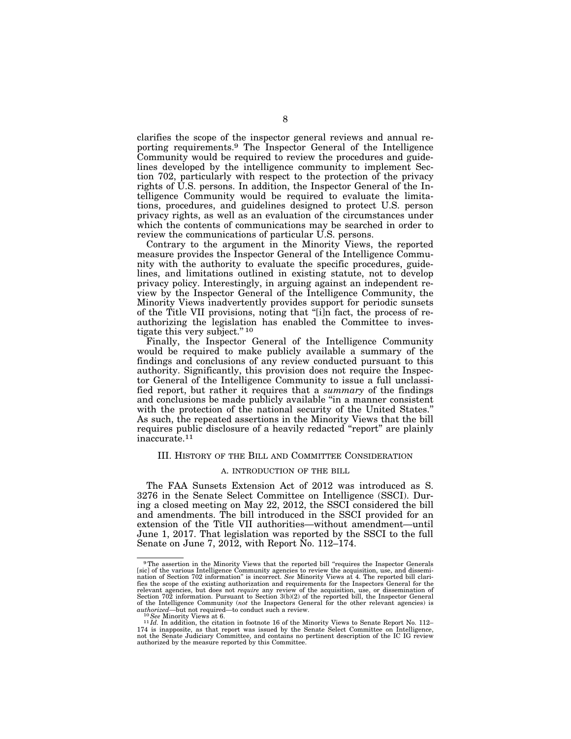clarifies the scope of the inspector general reviews and annual reporting requirements.9 The Inspector General of the Intelligence Community would be required to review the procedures and guidelines developed by the intelligence community to implement Section 702, particularly with respect to the protection of the privacy rights of U.S. persons. In addition, the Inspector General of the Intelligence Community would be required to evaluate the limitations, procedures, and guidelines designed to protect U.S. person privacy rights, as well as an evaluation of the circumstances under which the contents of communications may be searched in order to review the communications of particular U.S. persons.

Contrary to the argument in the Minority Views, the reported measure provides the Inspector General of the Intelligence Community with the authority to evaluate the specific procedures, guidelines, and limitations outlined in existing statute, not to develop privacy policy. Interestingly, in arguing against an independent review by the Inspector General of the Intelligence Community, the Minority Views inadvertently provides support for periodic sunsets of the Title VII provisions, noting that ''[i]n fact, the process of reauthorizing the legislation has enabled the Committee to investigate this very subject.'' 10

Finally, the Inspector General of the Intelligence Community would be required to make publicly available a summary of the findings and conclusions of any review conducted pursuant to this authority. Significantly, this provision does not require the Inspector General of the Intelligence Community to issue a full unclassified report, but rather it requires that a *summary* of the findings and conclusions be made publicly available ''in a manner consistent with the protection of the national security of the United States.'' As such, the repeated assertions in the Minority Views that the bill requires public disclosure of a heavily redacted ''report'' are plainly inaccurate.11

#### III. HISTORY OF THE BILL AND COMMITTEE CONSIDERATION

## A. INTRODUCTION OF THE BILL

The FAA Sunsets Extension Act of 2012 was introduced as S. 3276 in the Senate Select Committee on Intelligence (SSCI). During a closed meeting on May 22, 2012, the SSCI considered the bill and amendments. The bill introduced in the SSCI provided for an extension of the Title VII authorities—without amendment—until June 1, 2017. That legislation was reported by the SSCI to the full Senate on June 7, 2012, with Report No. 112–174.

<sup>&</sup>lt;sup>9</sup>The assertion in the Minority Views that the reported bill "requires the Inspector Generals [sic] of the various Intelligence Community agencies to review the acquisition, use, and dissemi-nation of Section 702 information'' is incorrect. *See* Minority Views at 4. The reported bill clarifies the scope of the existing authorization and requirements for the Inspectors General for the relevant agencies, but does not *require* any review of the acquisition, use, or dissemination of<br>Section 702 information. Pursuant to Section 3(b)(2) of the reported bill, the Inspector General<br>of the Intelligence Communi *authorized*—but not required—to conduct such a review.<br><sup>10</sup>See Minority Views at 6.<br><sup>11</sup>Id. In addition, the citation in footnote 16 of the Minority Views to Senate Report No. 112–

<sup>174</sup> is inapposite, as that report was issued by the Senate Select Committee on Intelligence, not the Senate Judiciary Committee, and contains no pertinent description of the IC IG review authorized by the measure reported by this Committee.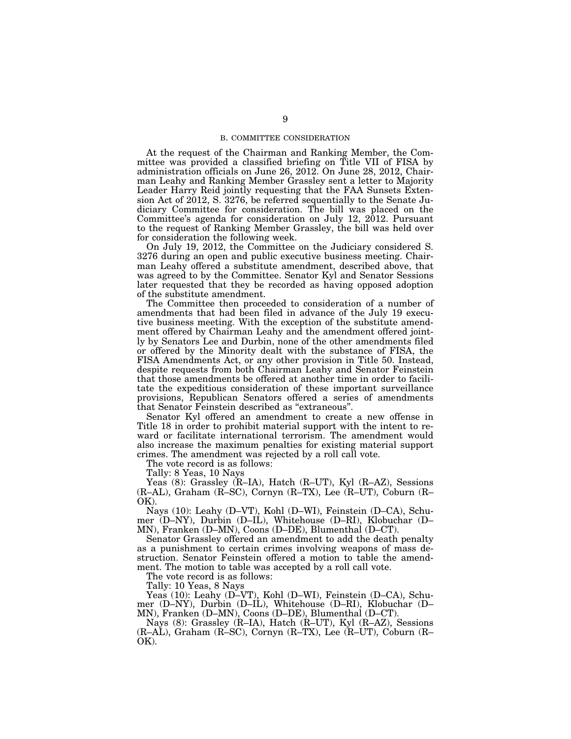## B. COMMITTEE CONSIDERATION

At the request of the Chairman and Ranking Member, the Committee was provided a classified briefing on Title VII of FISA by administration officials on June 26, 2012. On June 28, 2012, Chairman Leahy and Ranking Member Grassley sent a letter to Majority Leader Harry Reid jointly requesting that the FAA Sunsets Extension Act of 2012, S. 3276, be referred sequentially to the Senate Judiciary Committee for consideration. The bill was placed on the Committee's agenda for consideration on July 12, 2012. Pursuant to the request of Ranking Member Grassley, the bill was held over for consideration the following week.

On July 19, 2012, the Committee on the Judiciary considered S. 3276 during an open and public executive business meeting. Chairman Leahy offered a substitute amendment, described above, that was agreed to by the Committee. Senator Kyl and Senator Sessions later requested that they be recorded as having opposed adoption of the substitute amendment.

The Committee then proceeded to consideration of a number of amendments that had been filed in advance of the July 19 executive business meeting. With the exception of the substitute amendment offered by Chairman Leahy and the amendment offered jointly by Senators Lee and Durbin, none of the other amendments filed or offered by the Minority dealt with the substance of FISA, the FISA Amendments Act, or any other provision in Title 50. Instead, despite requests from both Chairman Leahy and Senator Feinstein that those amendments be offered at another time in order to facilitate the expeditious consideration of these important surveillance provisions, Republican Senators offered a series of amendments that Senator Feinstein described as ''extraneous''.

Senator Kyl offered an amendment to create a new offense in Title 18 in order to prohibit material support with the intent to reward or facilitate international terrorism. The amendment would also increase the maximum penalties for existing material support crimes. The amendment was rejected by a roll call vote.

The vote record is as follows:

Tally: 8 Yeas, 10 Nays

Yeas (8): Grassley (R–IA), Hatch (R–UT), Kyl (R–AZ), Sessions (R–AL), Graham (R–SC), Cornyn (R–TX), Lee (R–UT), Coburn (R– OK).

Nays (10): Leahy (D–VT), Kohl (D–WI), Feinstein (D–CA), Schumer (D–NY), Durbin (D–IL), Whitehouse (D–RI), Klobuchar (D– MN), Franken (D–MN), Coons (D–DE), Blumenthal (D–CT).

Senator Grassley offered an amendment to add the death penalty as a punishment to certain crimes involving weapons of mass destruction. Senator Feinstein offered a motion to table the amendment. The motion to table was accepted by a roll call vote.

The vote record is as follows:

Tally: 10 Yeas, 8 Nays

Yeas (10): Leahy (D–VT), Kohl (D–WI), Feinstein (D–CA), Schumer (D–NY), Durbin (D–IL), Whitehouse (D–RI), Klobuchar (D– MN), Franken (D–MN), Coons (D–DE), Blumenthal (D–CT).

Nays (8): Grassley (R–IA), Hatch (R–UT), Kyl (R–AZ), Sessions (R–AL), Graham (R–SC), Cornyn (R–TX), Lee (R–UT), Coburn (R– OK).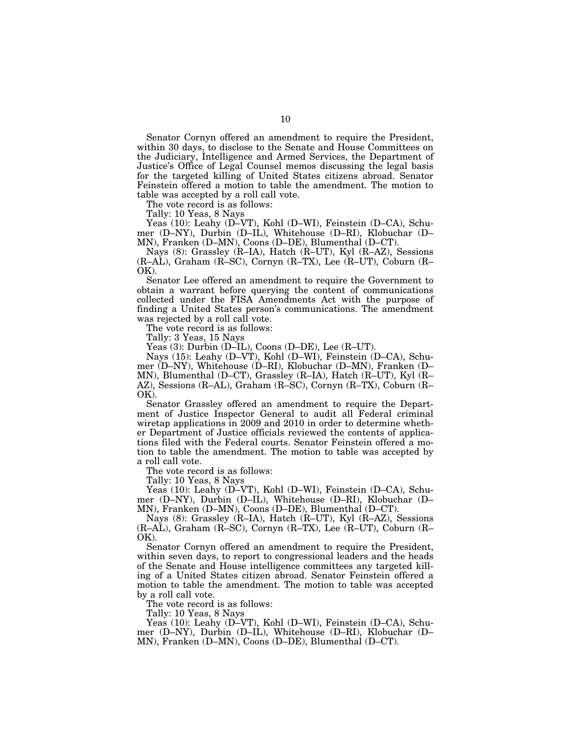Senator Cornyn offered an amendment to require the President, within 30 days, to disclose to the Senate and House Committees on the Judiciary, Intelligence and Armed Services, the Department of Justice's Office of Legal Counsel memos discussing the legal basis for the targeted killing of United States citizens abroad. Senator Feinstein offered a motion to table the amendment. The motion to table was accepted by a roll call vote.

The vote record is as follows:

Tally: 10 Yeas, 8 Nays

Yeas (10): Leahy (D–VT), Kohl (D–WI), Feinstein (D–CA), Schumer (D–NY), Durbin (D–IL), Whitehouse (D–RI), Klobuchar (D– MN), Franken (D–MN), Coons (D–DE), Blumenthal (D–CT).

Nays (8): Grassley (R–IA), Hatch (R–UT), Kyl (R–AZ), Sessions (R–AL), Graham (R–SC), Cornyn (R–TX), Lee (R–UT), Coburn (R– OK).

Senator Lee offered an amendment to require the Government to obtain a warrant before querying the content of communications collected under the FISA Amendments Act with the purpose of finding a United States person's communications. The amendment was rejected by a roll call vote.

The vote record is as follows:

Tally: 3 Yeas, 15 Nays

Yeas (3): Durbin (D–IL), Coons (D–DE), Lee (R–UT).

Nays (15): Leahy (D–VT), Kohl (D–WI), Feinstein (D–CA), Schumer (D–NY), Whitehouse (D–RI), Klobuchar (D–MN), Franken (D– MN), Blumenthal (D–CT), Grassley (R–IA), Hatch (R–UT), Kyl (R– AZ), Sessions (R–AL), Graham (R–SC), Cornyn (R–TX), Coburn (R– OK).

Senator Grassley offered an amendment to require the Department of Justice Inspector General to audit all Federal criminal wiretap applications in 2009 and 2010 in order to determine whether Department of Justice officials reviewed the contents of applications filed with the Federal courts. Senator Feinstein offered a motion to table the amendment. The motion to table was accepted by a roll call vote.

The vote record is as follows:

Tally: 10 Yeas, 8 Nays

Yeas (10): Leahy (D–VT), Kohl (D–WI), Feinstein (D–CA), Schumer (D–NY), Durbin (D–IL), Whitehouse (D–RI), Klobuchar (D– MN), Franken (D–MN), Coons (D–DE), Blumenthal (D–CT).

Nays (8): Grassley (R–IA), Hatch (R–UT), Kyl (R–AZ), Sessions (R–AL), Graham (R–SC), Cornyn (R–TX), Lee (R–UT), Coburn (R– OK).

Senator Cornyn offered an amendment to require the President, within seven days, to report to congressional leaders and the heads of the Senate and House intelligence committees any targeted killing of a United States citizen abroad. Senator Feinstein offered a motion to table the amendment. The motion to table was accepted by a roll call vote.

The vote record is as follows:

Tally: 10 Yeas, 8 Nays

Yeas (10): Leahy (D–VT), Kohl (D–WI), Feinstein (D–CA), Schumer (D–NY), Durbin (D–IL), Whitehouse (D–RI), Klobuchar (D– MN), Franken (D–MN), Coons (D–DE), Blumenthal (D–CT).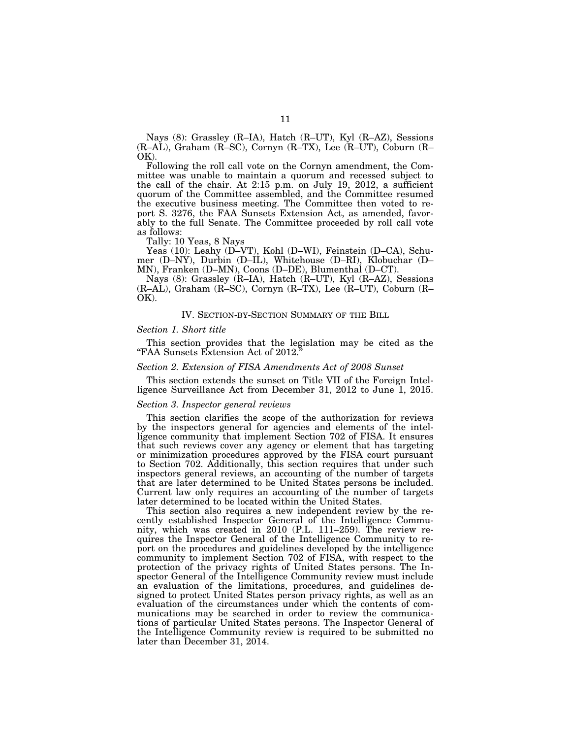Nays (8): Grassley (R–IA), Hatch (R–UT), Kyl (R–AZ), Sessions (R–AL), Graham (R–SC), Cornyn (R–TX), Lee (R–UT), Coburn (R– OK).

Following the roll call vote on the Cornyn amendment, the Committee was unable to maintain a quorum and recessed subject to the call of the chair. At 2:15 p.m. on July 19, 2012, a sufficient quorum of the Committee assembled, and the Committee resumed the executive business meeting. The Committee then voted to report S. 3276, the FAA Sunsets Extension Act, as amended, favorably to the full Senate. The Committee proceeded by roll call vote as follows:

Tally: 10 Yeas, 8 Nays

Yeas (10): Leahy (D–VT), Kohl (D–WI), Feinstein (D–CA), Schumer (D–NY), Durbin (D–IL), Whitehouse (D–RI), Klobuchar (D– MN), Franken (D–MN), Coons (D–DE), Blumenthal (D–CT).

Nays (8): Grassley (R–IA), Hatch (R–UT), Kyl (R–AZ), Sessions (R–AL), Graham (R–SC), Cornyn (R–TX), Lee (R–UT), Coburn (R– OK).

# IV. SECTION-BY-SECTION SUMMARY OF THE BILL

#### *Section 1. Short title*

This section provides that the legislation may be cited as the ''FAA Sunsets Extension Act of 2012.''

#### *Section 2. Extension of FISA Amendments Act of 2008 Sunset*

This section extends the sunset on Title VII of the Foreign Intelligence Surveillance Act from December 31, 2012 to June 1, 2015.

#### *Section 3. Inspector general reviews*

This section clarifies the scope of the authorization for reviews by the inspectors general for agencies and elements of the intelligence community that implement Section 702 of FISA. It ensures that such reviews cover any agency or element that has targeting or minimization procedures approved by the FISA court pursuant to Section 702. Additionally, this section requires that under such inspectors general reviews, an accounting of the number of targets that are later determined to be United States persons be included. Current law only requires an accounting of the number of targets later determined to be located within the United States.

This section also requires a new independent review by the recently established Inspector General of the Intelligence Community, which was created in 2010 (P.L. 111–259). The review requires the Inspector General of the Intelligence Community to report on the procedures and guidelines developed by the intelligence community to implement Section 702 of FISA, with respect to the protection of the privacy rights of United States persons. The Inspector General of the Intelligence Community review must include an evaluation of the limitations, procedures, and guidelines designed to protect United States person privacy rights, as well as an evaluation of the circumstances under which the contents of communications may be searched in order to review the communications of particular United States persons. The Inspector General of the Intelligence Community review is required to be submitted no later than December 31, 2014.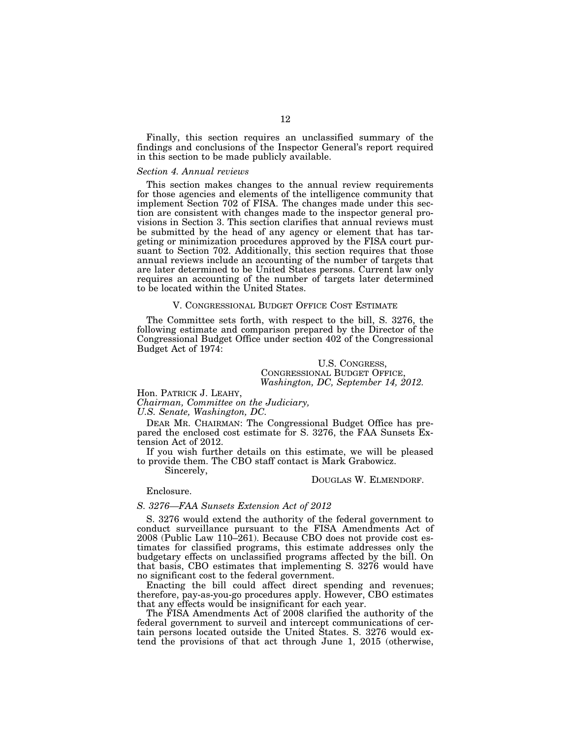Finally, this section requires an unclassified summary of the findings and conclusions of the Inspector General's report required in this section to be made publicly available.

#### *Section 4. Annual reviews*

This section makes changes to the annual review requirements for those agencies and elements of the intelligence community that implement Section 702 of FISA. The changes made under this section are consistent with changes made to the inspector general provisions in Section 3. This section clarifies that annual reviews must be submitted by the head of any agency or element that has targeting or minimization procedures approved by the FISA court pursuant to Section 702. Additionally, this section requires that those annual reviews include an accounting of the number of targets that are later determined to be United States persons. Current law only requires an accounting of the number of targets later determined to be located within the United States.

#### V. CONGRESSIONAL BUDGET OFFICE COST ESTIMATE

The Committee sets forth, with respect to the bill, S. 3276, the following estimate and comparison prepared by the Director of the Congressional Budget Office under section 402 of the Congressional Budget Act of 1974:

## U.S. CONGRESS, CONGRESSIONAL BUDGET OFFICE, *Washington, DC, September 14, 2012.*

Hon. PATRICK J. LEAHY,

*Chairman, Committee on the Judiciary,* 

*U.S. Senate, Washington, DC.* 

DEAR MR. CHAIRMAN: The Congressional Budget Office has prepared the enclosed cost estimate for S. 3276, the FAA Sunsets Extension Act of 2012.

If you wish further details on this estimate, we will be pleased to provide them. The CBO staff contact is Mark Grabowicz.

Sincerely,

#### DOUGLAS W. ELMENDORF.

Enclosure.

## *S. 3276—FAA Sunsets Extension Act of 2012*

S. 3276 would extend the authority of the federal government to conduct surveillance pursuant to the FISA Amendments Act of 2008 (Public Law 110–261). Because CBO does not provide cost estimates for classified programs, this estimate addresses only the budgetary effects on unclassified programs affected by the bill. On that basis, CBO estimates that implementing S. 3276 would have no significant cost to the federal government.

Enacting the bill could affect direct spending and revenues; therefore, pay-as-you-go procedures apply. However, CBO estimates that any effects would be insignificant for each year.

The FISA Amendments Act of 2008 clarified the authority of the federal government to surveil and intercept communications of certain persons located outside the United States. S. 3276 would extend the provisions of that act through June 1, 2015 (otherwise,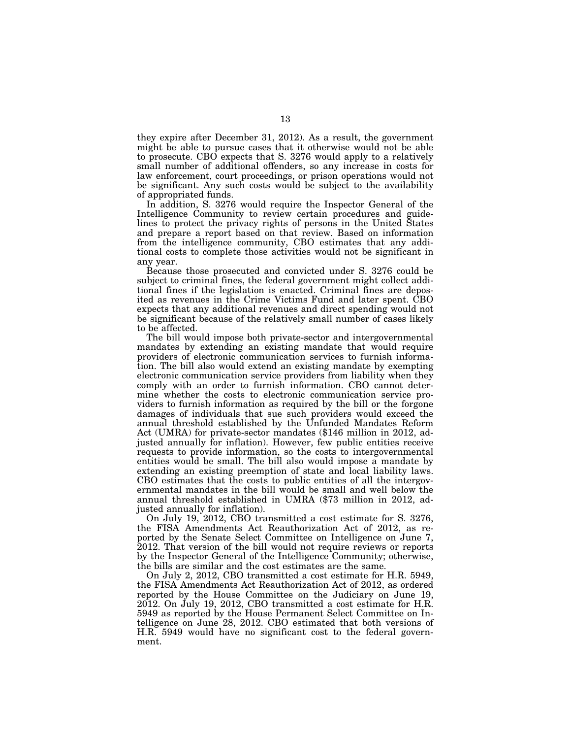they expire after December 31, 2012). As a result, the government might be able to pursue cases that it otherwise would not be able to prosecute. CBO expects that S. 3276 would apply to a relatively small number of additional offenders, so any increase in costs for law enforcement, court proceedings, or prison operations would not be significant. Any such costs would be subject to the availability of appropriated funds.

In addition, S. 3276 would require the Inspector General of the Intelligence Community to review certain procedures and guidelines to protect the privacy rights of persons in the United States and prepare a report based on that review. Based on information from the intelligence community, CBO estimates that any additional costs to complete those activities would not be significant in any year.

Because those prosecuted and convicted under S. 3276 could be subject to criminal fines, the federal government might collect additional fines if the legislation is enacted. Criminal fines are deposited as revenues in the Crime Victims Fund and later spent. CBO expects that any additional revenues and direct spending would not be significant because of the relatively small number of cases likely to be affected.

The bill would impose both private-sector and intergovernmental mandates by extending an existing mandate that would require providers of electronic communication services to furnish information. The bill also would extend an existing mandate by exempting electronic communication service providers from liability when they comply with an order to furnish information. CBO cannot determine whether the costs to electronic communication service providers to furnish information as required by the bill or the forgone damages of individuals that sue such providers would exceed the annual threshold established by the Unfunded Mandates Reform Act (UMRA) for private-sector mandates (\$146 million in 2012, adjusted annually for inflation). However, few public entities receive requests to provide information, so the costs to intergovernmental entities would be small. The bill also would impose a mandate by extending an existing preemption of state and local liability laws. CBO estimates that the costs to public entities of all the intergovernmental mandates in the bill would be small and well below the annual threshold established in UMRA (\$73 million in 2012, adjusted annually for inflation).

On July 19, 2012, CBO transmitted a cost estimate for S. 3276, the FISA Amendments Act Reauthorization Act of 2012, as reported by the Senate Select Committee on Intelligence on June 7, 2012. That version of the bill would not require reviews or reports by the Inspector General of the Intelligence Community; otherwise, the bills are similar and the cost estimates are the same.

On July 2, 2012, CBO transmitted a cost estimate for H.R. 5949, the FISA Amendments Act Reauthorization Act of 2012, as ordered reported by the House Committee on the Judiciary on June 19, 2012. On July 19, 2012, CBO transmitted a cost estimate for H.R. 5949 as reported by the House Permanent Select Committee on Intelligence on June 28, 2012. CBO estimated that both versions of H.R. 5949 would have no significant cost to the federal government.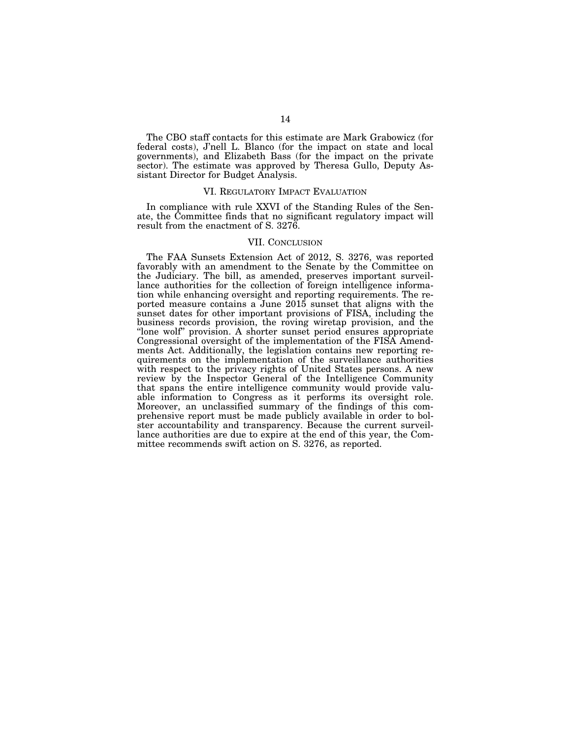The CBO staff contacts for this estimate are Mark Grabowicz (for federal costs), J'nell L. Blanco (for the impact on state and local governments), and Elizabeth Bass (for the impact on the private sector). The estimate was approved by Theresa Gullo, Deputy Assistant Director for Budget Analysis.

#### VI. REGULATORY IMPACT EVALUATION

In compliance with rule XXVI of the Standing Rules of the Senate, the Committee finds that no significant regulatory impact will result from the enactment of S. 3276.

## VII. CONCLUSION

The FAA Sunsets Extension Act of 2012, S. 3276, was reported favorably with an amendment to the Senate by the Committee on the Judiciary. The bill, as amended, preserves important surveillance authorities for the collection of foreign intelligence information while enhancing oversight and reporting requirements. The reported measure contains a June 2015 sunset that aligns with the sunset dates for other important provisions of FISA, including the business records provision, the roving wiretap provision, and the ''lone wolf'' provision. A shorter sunset period ensures appropriate Congressional oversight of the implementation of the FISA Amendments Act. Additionally, the legislation contains new reporting requirements on the implementation of the surveillance authorities with respect to the privacy rights of United States persons. A new review by the Inspector General of the Intelligence Community that spans the entire intelligence community would provide valuable information to Congress as it performs its oversight role. Moreover, an unclassified summary of the findings of this comprehensive report must be made publicly available in order to bolster accountability and transparency. Because the current surveillance authorities are due to expire at the end of this year, the Committee recommends swift action on S. 3276, as reported.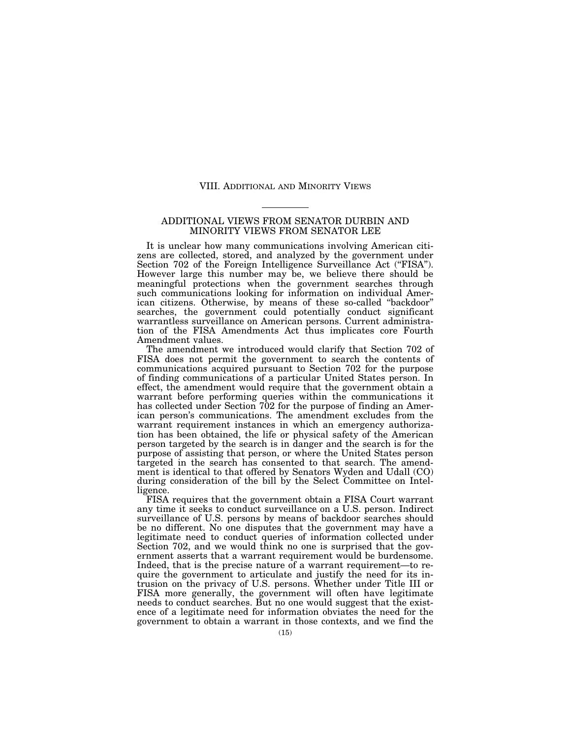### VIII. ADDITIONAL AND MINORITY VIEWS

## ADDITIONAL VIEWS FROM SENATOR DURBIN AND MINORITY VIEWS FROM SENATOR LEE

It is unclear how many communications involving American citizens are collected, stored, and analyzed by the government under Section 702 of the Foreign Intelligence Surveillance Act ("FISA"). However large this number may be, we believe there should be meaningful protections when the government searches through such communications looking for information on individual American citizens. Otherwise, by means of these so-called ''backdoor'' searches, the government could potentially conduct significant warrantless surveillance on American persons. Current administration of the FISA Amendments Act thus implicates core Fourth Amendment values.

The amendment we introduced would clarify that Section 702 of FISA does not permit the government to search the contents of communications acquired pursuant to Section 702 for the purpose of finding communications of a particular United States person. In effect, the amendment would require that the government obtain a warrant before performing queries within the communications it has collected under Section 702 for the purpose of finding an American person's communications. The amendment excludes from the warrant requirement instances in which an emergency authorization has been obtained, the life or physical safety of the American person targeted by the search is in danger and the search is for the purpose of assisting that person, or where the United States person targeted in the search has consented to that search. The amendment is identical to that offered by Senators Wyden and Udall (CO) during consideration of the bill by the Select Committee on Intelligence.

FISA requires that the government obtain a FISA Court warrant any time it seeks to conduct surveillance on a U.S. person. Indirect surveillance of U.S. persons by means of backdoor searches should be no different. No one disputes that the government may have a legitimate need to conduct queries of information collected under Section 702, and we would think no one is surprised that the government asserts that a warrant requirement would be burdensome. Indeed, that is the precise nature of a warrant requirement—to require the government to articulate and justify the need for its intrusion on the privacy of U.S. persons. Whether under Title III or FISA more generally, the government will often have legitimate needs to conduct searches. But no one would suggest that the existence of a legitimate need for information obviates the need for the government to obtain a warrant in those contexts, and we find the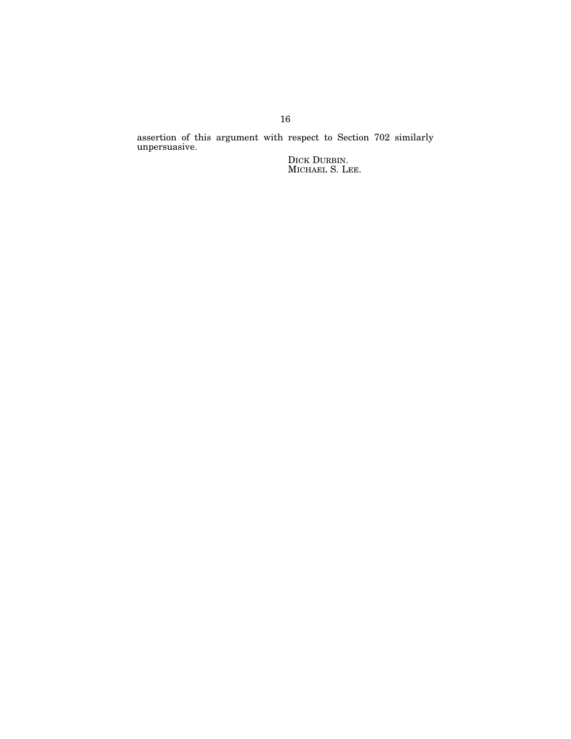assertion of this argument with respect to Section 702 similarly unpersuasive.

> DICK DURBIN. MICHAEL S. LEE.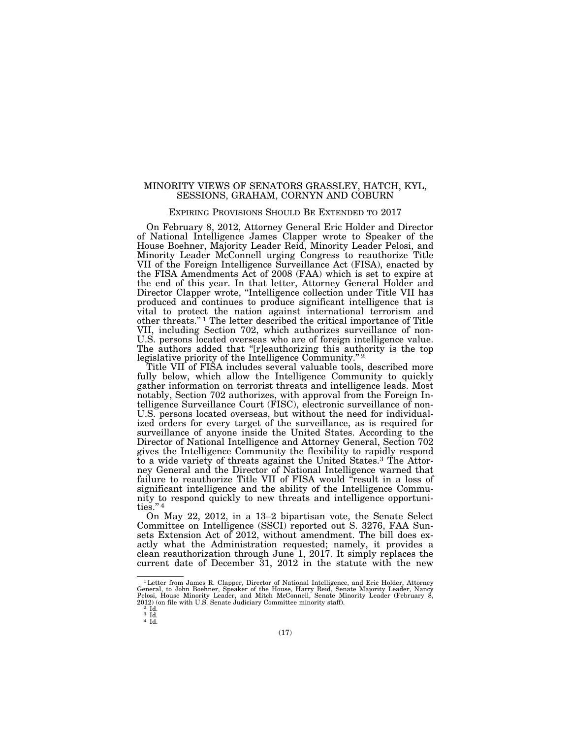## MINORITY VIEWS OF SENATORS GRASSLEY, HATCH, KYL, SESSIONS, GRAHAM, CORNYN AND COBURN

## EXPIRING PROVISIONS SHOULD BE EXTENDED TO 2017

On February 8, 2012, Attorney General Eric Holder and Director of National Intelligence James Clapper wrote to Speaker of the House Boehner, Majority Leader Reid, Minority Leader Pelosi, and Minority Leader McConnell urging Congress to reauthorize Title VII of the Foreign Intelligence Surveillance Act (FISA), enacted by the FISA Amendments Act of 2008 (FAA) which is set to expire at the end of this year. In that letter, Attorney General Holder and Director Clapper wrote, ''Intelligence collection under Title VII has produced and continues to produce significant intelligence that is vital to protect the nation against international terrorism and other threats."<sup>1</sup> The letter described the critical importance of Title VII, including Section 702, which authorizes surveillance of non-U.S. persons located overseas who are of foreign intelligence value. The authors added that ''[r]eauthorizing this authority is the top legislative priority of the Intelligence Community."<sup>2</sup>

Title VII of FISA includes several valuable tools, described more fully below, which allow the Intelligence Community to quickly gather information on terrorist threats and intelligence leads. Most notably, Section 702 authorizes, with approval from the Foreign Intelligence Surveillance Court (FISC), electronic surveillance of non-U.S. persons located overseas, but without the need for individualized orders for every target of the surveillance, as is required for surveillance of anyone inside the United States. According to the Director of National Intelligence and Attorney General, Section 702 gives the Intelligence Community the flexibility to rapidly respond to a wide variety of threats against the United States.3 The Attorney General and the Director of National Intelligence warned that failure to reauthorize Title VII of FISA would "result in a loss of significant intelligence and the ability of the Intelligence Community to respond quickly to new threats and intelligence opportunities.'' 4

On May 22, 2012, in a 13–2 bipartisan vote, the Senate Select Committee on Intelligence (SSCI) reported out S. 3276, FAA Sunsets Extension Act of 2012, without amendment. The bill does exactly what the Administration requested; namely, it provides a clean reauthorization through June 1, 2017. It simply replaces the current date of December 31, 2012 in the statute with the new

 $^1$  Letter from James R. Clapper, Director of National Intelligence, and Eric Holder, Attorney General, to John Boehner, Speaker of the House, Harry Reid, Senate Majority Leader, Nancy Pelosi, House Minority Leader, and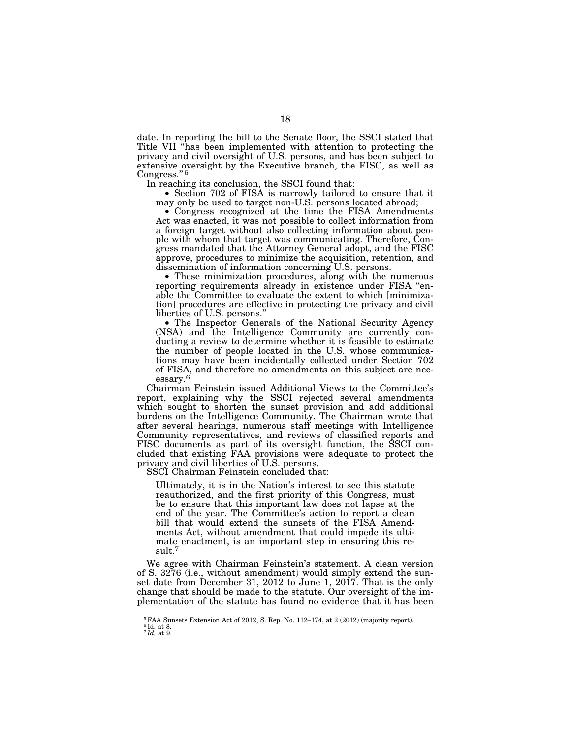date. In reporting the bill to the Senate floor, the SSCI stated that Title VII ''has been implemented with attention to protecting the privacy and civil oversight of U.S. persons, and has been subject to extensive oversight by the Executive branch, the FISC, as well as Congress."<sup>5</sup><br>In reaching its conclusion, the SSCI found that:

• Section 702 of FISA is narrowly tailored to ensure that it may only be used to target non-U.S. persons located abroad; • Congress recognized at the time the FISA Amendments

Act was enacted, it was not possible to collect information from a foreign target without also collecting information about people with whom that target was communicating. Therefore, Congress mandated that the Attorney General adopt, and the FISC approve, procedures to minimize the acquisition, retention, and dissemination of information concerning U.S. persons.

• These minimization procedures, along with the numerous reporting requirements already in existence under FISA ''enable the Committee to evaluate the extent to which [minimization] procedures are effective in protecting the privacy and civil liberties of U.S. persons.''

• The Inspector Generals of the National Security Agency (NSA) and the Intelligence Community are currently conducting a review to determine whether it is feasible to estimate the number of people located in the U.S. whose communications may have been incidentally collected under Section 702 of FISA, and therefore no amendments on this subject are necessary.6

Chairman Feinstein issued Additional Views to the Committee's report, explaining why the SSCI rejected several amendments which sought to shorten the sunset provision and add additional burdens on the Intelligence Community. The Chairman wrote that after several hearings, numerous staff meetings with Intelligence Community representatives, and reviews of classified reports and FISC documents as part of its oversight function, the SSCI concluded that existing FAA provisions were adequate to protect the privacy and civil liberties of U.S. persons.

SSCI Chairman Feinstein concluded that:

Ultimately, it is in the Nation's interest to see this statute reauthorized, and the first priority of this Congress, must be to ensure that this important law does not lapse at the end of the year. The Committee's action to report a clean bill that would extend the sunsets of the FISA Amendments Act, without amendment that could impede its ultimate enactment, is an important step in ensuring this result.7

We agree with Chairman Feinstein's statement. A clean version of S. 3276 (i.e., without amendment) would simply extend the sunset date from December 31, 2012 to June 1, 2017. That is the only change that should be made to the statute. Our oversight of the implementation of the statute has found no evidence that it has been

<sup>5</sup>FAA Sunsets Extension Act of 2012, S. Rep. No. 112–174, at 2 (2012) (majority report).

<sup>6</sup> Id. at 8. 7 *Id.* at 9.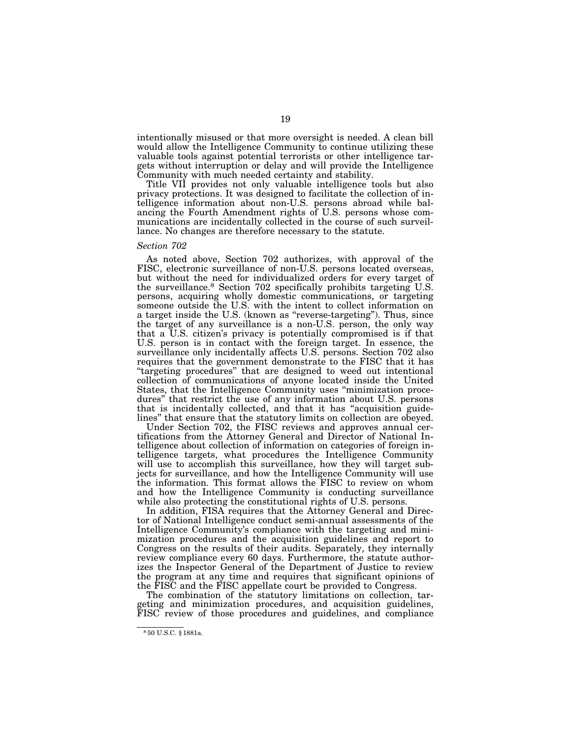intentionally misused or that more oversight is needed. A clean bill would allow the Intelligence Community to continue utilizing these valuable tools against potential terrorists or other intelligence targets without interruption or delay and will provide the Intelligence Community with much needed certainty and stability.

Title VII provides not only valuable intelligence tools but also privacy protections. It was designed to facilitate the collection of intelligence information about non-U.S. persons abroad while balancing the Fourth Amendment rights of U.S. persons whose communications are incidentally collected in the course of such surveillance. No changes are therefore necessary to the statute.

#### *Section 702*

As noted above, Section 702 authorizes, with approval of the FISC, electronic surveillance of non-U.S. persons located overseas, but without the need for individualized orders for every target of the surveillance.8 Section 702 specifically prohibits targeting U.S. persons, acquiring wholly domestic communications, or targeting someone outside the U.S. with the intent to collect information on a target inside the U.S. (known as ''reverse-targeting''). Thus, since the target of any surveillance is a non-U.S. person, the only way that a U.S. citizen's privacy is potentially compromised is if that U.S. person is in contact with the foreign target. In essence, the surveillance only incidentally affects U.S. persons. Section 702 also requires that the government demonstrate to the FISC that it has ''targeting procedures'' that are designed to weed out intentional collection of communications of anyone located inside the United States, that the Intelligence Community uses "minimization procedures'' that restrict the use of any information about U.S. persons that is incidentally collected, and that it has ''acquisition guidelines'' that ensure that the statutory limits on collection are obeyed.

Under Section 702, the FISC reviews and approves annual certifications from the Attorney General and Director of National Intelligence about collection of information on categories of foreign intelligence targets, what procedures the Intelligence Community will use to accomplish this surveillance, how they will target subjects for surveillance, and how the Intelligence Community will use the information. This format allows the FISC to review on whom and how the Intelligence Community is conducting surveillance while also protecting the constitutional rights of U.S. persons.

In addition, FISA requires that the Attorney General and Director of National Intelligence conduct semi-annual assessments of the Intelligence Community's compliance with the targeting and minimization procedures and the acquisition guidelines and report to Congress on the results of their audits. Separately, they internally review compliance every 60 days. Furthermore, the statute authorizes the Inspector General of the Department of Justice to review the program at any time and requires that significant opinions of the FISC and the FISC appellate court be provided to Congress.

The combination of the statutory limitations on collection, targeting and minimization procedures, and acquisition guidelines, FISC review of those procedures and guidelines, and compliance

<sup>8</sup> 50 U.S.C. § 1881a.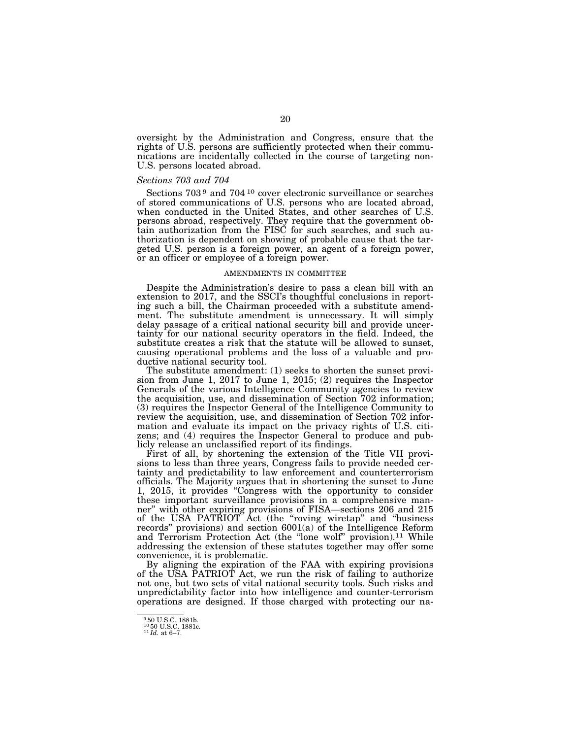oversight by the Administration and Congress, ensure that the rights of U.S. persons are sufficiently protected when their communications are incidentally collected in the course of targeting non-U.S. persons located abroad.

## *Sections 703 and 704*

Sections 703 9 and 704 10 cover electronic surveillance or searches of stored communications of U.S. persons who are located abroad, when conducted in the United States, and other searches of U.S. persons abroad, respectively. They require that the government obtain authorization from the FISC for such searches, and such authorization is dependent on showing of probable cause that the targeted U.S. person is a foreign power, an agent of a foreign power, or an officer or employee of a foreign power.

#### AMENDMENTS IN COMMITTEE

Despite the Administration's desire to pass a clean bill with an extension to 2017, and the SSCI's thoughtful conclusions in reporting such a bill, the Chairman proceeded with a substitute amendment. The substitute amendment is unnecessary. It will simply delay passage of a critical national security bill and provide uncertainty for our national security operators in the field. Indeed, the substitute creates a risk that the statute will be allowed to sunset, causing operational problems and the loss of a valuable and productive national security tool.

The substitute amendment: (1) seeks to shorten the sunset provision from June 1, 2017 to June 1, 2015; (2) requires the Inspector Generals of the various Intelligence Community agencies to review the acquisition, use, and dissemination of Section 702 information; (3) requires the Inspector General of the Intelligence Community to review the acquisition, use, and dissemination of Section 702 information and evaluate its impact on the privacy rights of U.S. citizens; and (4) requires the Inspector General to produce and publicly release an unclassified report of its findings.

First of all, by shortening the extension of the Title VII provisions to less than three years, Congress fails to provide needed certainty and predictability to law enforcement and counterterrorism officials. The Majority argues that in shortening the sunset to June 1, 2015, it provides ''Congress with the opportunity to consider these important surveillance provisions in a comprehensive manner'' with other expiring provisions of FISA—sections 206 and 215 of the USA PATRIOT Act (the ''roving wiretap'' and ''business records'' provisions) and section 6001(a) of the Intelligence Reform and Terrorism Protection Act (the "lone wolf" provision).<sup>11</sup> While addressing the extension of these statutes together may offer some convenience, it is problematic.

By aligning the expiration of the FAA with expiring provisions of the USA PATRIOT Act, we run the risk of failing to authorize not one, but two sets of vital national security tools. Such risks and unpredictability factor into how intelligence and counter-terrorism operations are designed. If those charged with protecting our na-

<sup>9</sup> 50 U.S.C. 1881b.

<sup>10</sup> 50 U.S.C. 1881c. 11 *Id.* at 6–7.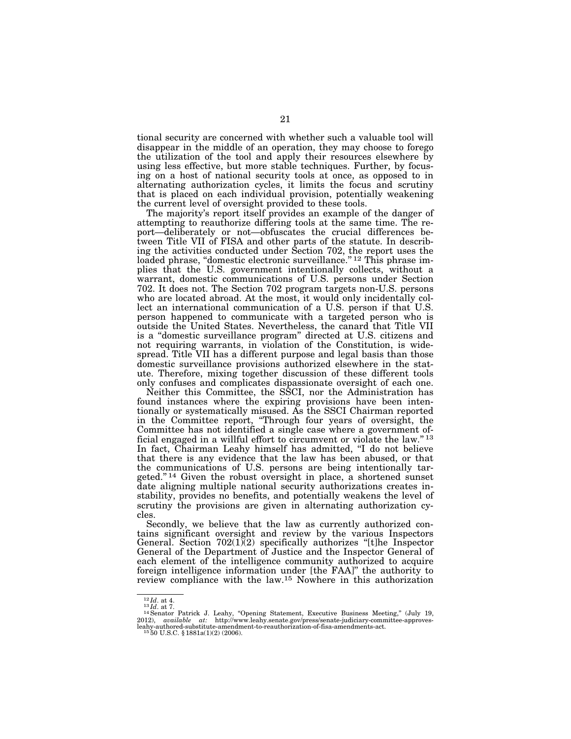tional security are concerned with whether such a valuable tool will disappear in the middle of an operation, they may choose to forego the utilization of the tool and apply their resources elsewhere by using less effective, but more stable techniques. Further, by focusing on a host of national security tools at once, as opposed to in alternating authorization cycles, it limits the focus and scrutiny that is placed on each individual provision, potentially weakening the current level of oversight provided to these tools.

The majority's report itself provides an example of the danger of attempting to reauthorize differing tools at the same time. The report—deliberately or not—obfuscates the crucial differences between Title VII of FISA and other parts of the statute. In describing the activities conducted under Section 702, the report uses the loaded phrase, "domestic electronic surveillance." <sup>12</sup> This phrase implies that the U.S. government intentionally collects, without a warrant, domestic communications of U.S. persons under Section 702. It does not. The Section 702 program targets non-U.S. persons who are located abroad. At the most, it would only incidentally collect an international communication of a U.S. person if that U.S. person happened to communicate with a targeted person who is outside the United States. Nevertheless, the canard that Title VII is a ''domestic surveillance program'' directed at U.S. citizens and not requiring warrants, in violation of the Constitution, is widespread. Title VII has a different purpose and legal basis than those domestic surveillance provisions authorized elsewhere in the statute. Therefore, mixing together discussion of these different tools only confuses and complicates dispassionate oversight of each one.

Neither this Committee, the SSCI, nor the Administration has found instances where the expiring provisions have been intentionally or systematically misused. As the SSCI Chairman reported in the Committee report, ''Through four years of oversight, the Committee has not identified a single case where a government official engaged in a willful effort to circumvent or violate the law."<sup>13</sup> In fact, Chairman Leahy himself has admitted, ''I do not believe that there is any evidence that the law has been abused, or that the communications of U.S. persons are being intentionally targeted.'' 14 Given the robust oversight in place, a shortened sunset date aligning multiple national security authorizations creates instability, provides no benefits, and potentially weakens the level of scrutiny the provisions are given in alternating authorization cycles.

Secondly, we believe that the law as currently authorized contains significant oversight and review by the various Inspectors General. Section  $702(1)(2)$  specifically authorizes "[t]he Inspector General of the Department of Justice and the Inspector General of each element of the intelligence community authorized to acquire foreign intelligence information under [the FAA]" the authority to review compliance with the law.15 Nowhere in this authorization

 $^{12}Id.$ at 4.<br> $^{13}Id.$ at 7.<br> $^{14}$ Senator Patrick J. Leahy, "Opening Statement, Executive Business Meeting," (July 19, 2012), available at: http://www.leahy.senate.gov/press/senate-judiciary-committee-approves-<br>leahy-auth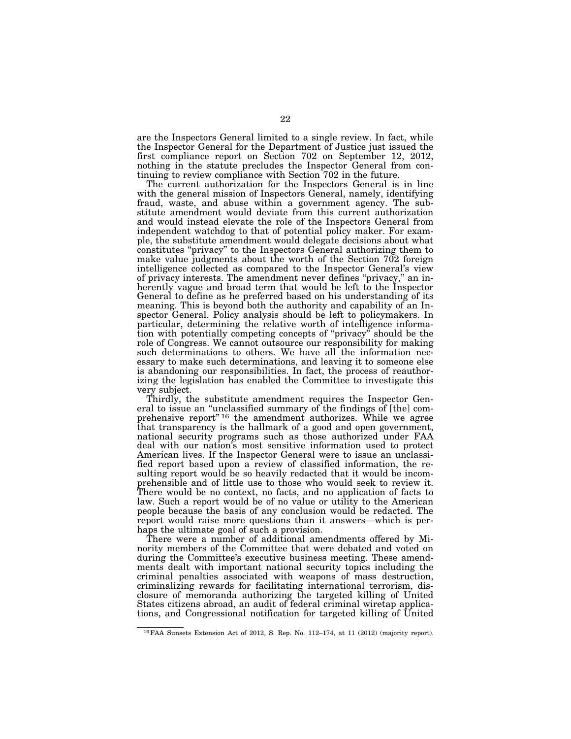are the Inspectors General limited to a single review. In fact, while the Inspector General for the Department of Justice just issued the first compliance report on Section 702 on September 12, 2012, nothing in the statute precludes the Inspector General from continuing to review compliance with Section 702 in the future.

The current authorization for the Inspectors General is in line with the general mission of Inspectors General, namely, identifying fraud, waste, and abuse within a government agency. The substitute amendment would deviate from this current authorization and would instead elevate the role of the Inspectors General from independent watchdog to that of potential policy maker. For example, the substitute amendment would delegate decisions about what constitutes ''privacy'' to the Inspectors General authorizing them to make value judgments about the worth of the Section 702 foreign intelligence collected as compared to the Inspector General's view of privacy interests. The amendment never defines ''privacy,'' an inherently vague and broad term that would be left to the Inspector General to define as he preferred based on his understanding of its meaning. This is beyond both the authority and capability of an Inspector General. Policy analysis should be left to policymakers. In particular, determining the relative worth of intelligence information with potentially competing concepts of ''privacy'' should be the role of Congress. We cannot outsource our responsibility for making such determinations to others. We have all the information necessary to make such determinations, and leaving it to someone else is abandoning our responsibilities. In fact, the process of reauthorizing the legislation has enabled the Committee to investigate this very subject.

Thirdly, the substitute amendment requires the Inspector General to issue an ''unclassified summary of the findings of [the] comprehensive report"<sup>16</sup> the amendment authorizes. While we agree that transparency is the hallmark of a good and open government, national security programs such as those authorized under FAA deal with our nation's most sensitive information used to protect American lives. If the Inspector General were to issue an unclassified report based upon a review of classified information, the resulting report would be so heavily redacted that it would be incomprehensible and of little use to those who would seek to review it. There would be no context, no facts, and no application of facts to law. Such a report would be of no value or utility to the American people because the basis of any conclusion would be redacted. The report would raise more questions than it answers—which is perhaps the ultimate goal of such a provision.

There were a number of additional amendments offered by Minority members of the Committee that were debated and voted on during the Committee's executive business meeting. These amendments dealt with important national security topics including the criminal penalties associated with weapons of mass destruction, criminalizing rewards for facilitating international terrorism, disclosure of memoranda authorizing the targeted killing of United States citizens abroad, an audit of federal criminal wiretap applications, and Congressional notification for targeted killing of United

<sup>16</sup>FAA Sunsets Extension Act of 2012, S. Rep. No. 112–174, at 11 (2012) (majority report).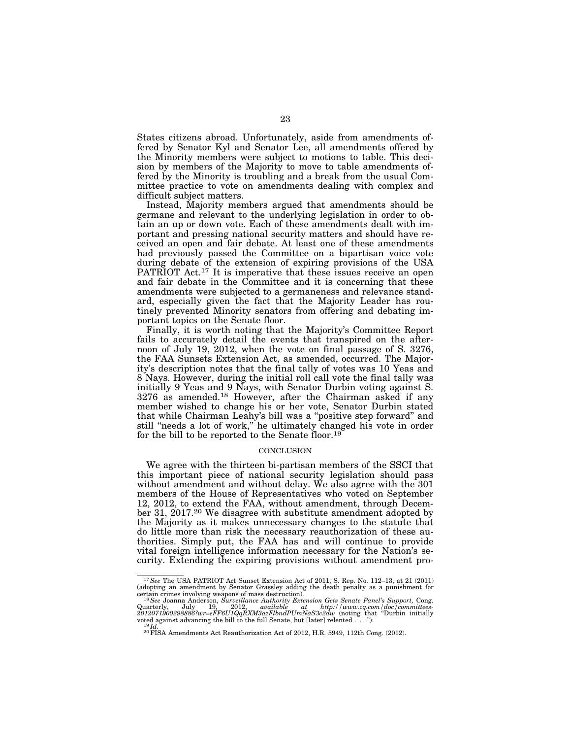States citizens abroad. Unfortunately, aside from amendments offered by Senator Kyl and Senator Lee, all amendments offered by the Minority members were subject to motions to table. This decision by members of the Majority to move to table amendments offered by the Minority is troubling and a break from the usual Committee practice to vote on amendments dealing with complex and difficult subject matters.

Instead, Majority members argued that amendments should be germane and relevant to the underlying legislation in order to obtain an up or down vote. Each of these amendments dealt with important and pressing national security matters and should have received an open and fair debate. At least one of these amendments had previously passed the Committee on a bipartisan voice vote during debate of the extension of expiring provisions of the USA PATRIOT Act.<sup>17</sup> It is imperative that these issues receive an open and fair debate in the Committee and it is concerning that these amendments were subjected to a germaneness and relevance standard, especially given the fact that the Majority Leader has routinely prevented Minority senators from offering and debating important topics on the Senate floor.

Finally, it is worth noting that the Majority's Committee Report fails to accurately detail the events that transpired on the afternoon of July 19, 2012, when the vote on final passage of S. 3276, the FAA Sunsets Extension Act, as amended, occurred. The Majority's description notes that the final tally of votes was 10 Yeas and 8 Nays. However, during the initial roll call vote the final tally was initially 9 Yeas and 9 Nays, with Senator Durbin voting against S. 3276 as amended.18 However, after the Chairman asked if any member wished to change his or her vote, Senator Durbin stated that while Chairman Leahy's bill was a ''positive step forward'' and still ''needs a lot of work,'' he ultimately changed his vote in order for the bill to be reported to the Senate floor.19

#### **CONCLUSION**

We agree with the thirteen bi-partisan members of the SSCI that this important piece of national security legislation should pass without amendment and without delay. We also agree with the 301 members of the House of Representatives who voted on September 12, 2012, to extend the FAA, without amendment, through December 31, 2017.20 We disagree with substitute amendment adopted by the Majority as it makes unnecessary changes to the statute that do little more than risk the necessary reauthorization of these authorities. Simply put, the FAA has and will continue to provide vital foreign intelligence information necessary for the Nation's security. Extending the expiring provisions without amendment pro-

<sup>17</sup>*See* The USA PATRIOT Act Sunset Extension Act of 2011, S. Rep. No. 112–13, at 21 (2011) (adopting an amendment by Senator Grassley adding the death penalty as a punishment for

<sup>&</sup>lt;sup>18</sup> See Joanna Anderson, *Surveillance Authority Extension Gets Senate Panel's Support*, Cong. Quarterly, July 19, 2012, available at http://www.cq.com/doc/committees-<br>2012071900298886?wr=eFF6U1QqRXM3azFlbndPUmNaS3c2dw (noting that "Durbin initially voted against advancing the bill to the full Senate, but [later] r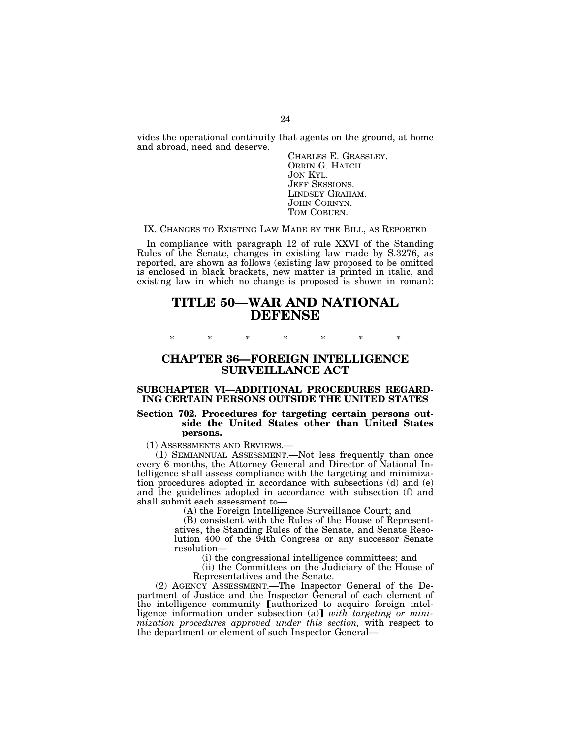vides the operational continuity that agents on the ground, at home and abroad, need and deserve.

CHARLES E. GRASSLEY.<br>ORRIN G. HATCH.<br>JON KYL.<br>JEFF SESSIONS.<br>LINDSEY GRAHAM.<br>JOHN CORNYN.<br>TOM COBURN.

# IX. CHANGES TO EXISTING LAW MADE BY THE BILL, AS REPORTED

In compliance with paragraph 12 of rule XXVI of the Standing Rules of the Senate, changes in existing law made by S.3276, as reported, are shown as follows (existing law proposed to be omitted is enclosed in black brackets, new matter is printed in italic, and existing law in which no change is proposed is shown in roman):

# **TITLE 50—WAR AND NATIONAL DEFENSE**

\* \* \* \* \* \* \*

# **CHAPTER 36—FOREIGN INTELLIGENCE SURVEILLANCE ACT**

# **SUBCHAPTER VI—ADDITIONAL PROCEDURES REGARD-ING CERTAIN PERSONS OUTSIDE THE UNITED STATES**

## **Section 702. Procedures for targeting certain persons outside the United States other than United States persons.**

(1) ASSESSMENTS AND REVIEWS.—

(1) SEMIANNUAL ASSESSMENT.—Not less frequently than once every 6 months, the Attorney General and Director of National Intelligence shall assess compliance with the targeting and minimization procedures adopted in accordance with subsections (d) and (e) and the guidelines adopted in accordance with subsection (f) and shall submit each assessment to—

(A) the Foreign Intelligence Surveillance Court; and

(B) consistent with the Rules of the House of Representatives, the Standing Rules of the Senate, and Senate Resolution 400 of the 94th Congress or any successor Senate resolution—

(i) the congressional intelligence committees; and

(ii) the Committees on the Judiciary of the House of Representatives and the Senate.

(2) AGENCY ASSESSMENT.—The Inspector General of the Department of Justice and the Inspector General of each element of the intelligence community *authorized* to acquire foreign intelligence information under subsection (a)] with targeting or mini*mization procedures approved under this section,* with respect to the department or element of such Inspector General—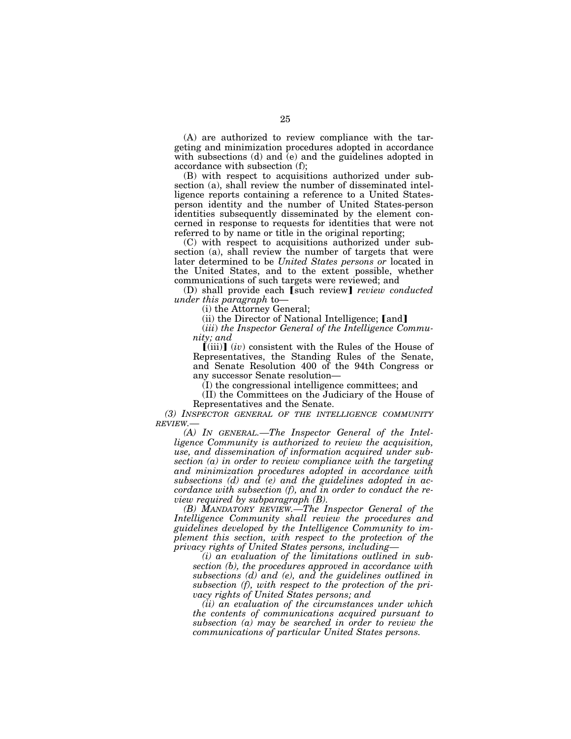(A) are authorized to review compliance with the targeting and minimization procedures adopted in accordance with subsections (d) and (e) and the guidelines adopted in accordance with subsection (f);

(B) with respect to acquisitions authorized under subsection (a), shall review the number of disseminated intelligence reports containing a reference to a United Statesperson identity and the number of United States-person identities subsequently disseminated by the element concerned in response to requests for identities that were not referred to by name or title in the original reporting;

(C) with respect to acquisitions authorized under subsection (a), shall review the number of targets that were later determined to be *United States persons or* located in the United States, and to the extent possible, whether communications of such targets were reviewed; and

(D) shall provide each [such review] *review conducted under this paragraph* to—

(i) the Attorney General;

(ii) the Director of National Intelligence; [and]

(*iii*) *the Inspector General of the Intelligence Community; and* 

 $\left[\text{(iii)}\right]$  (*iv*) consistent with the Rules of the House of Representatives, the Standing Rules of the Senate, and Senate Resolution 400 of the 94th Congress or any successor Senate resolution—

(I) the congressional intelligence committees; and

(II) the Committees on the Judiciary of the House of Representatives and the Senate.

*(3) INSPECTOR GENERAL OF THE INTELLIGENCE COMMUNITY REVIEW.—* 

*(A) IN GENERAL.—The Inspector General of the Intelligence Community is authorized to review the acquisition, use, and dissemination of information acquired under subsection (a) in order to review compliance with the targeting and minimization procedures adopted in accordance with subsections (d) and (e) and the guidelines adopted in accordance with subsection (f), and in order to conduct the review required by subparagraph (B).* 

*(B) MANDATORY REVIEW.—The Inspector General of the Intelligence Community shall review the procedures and guidelines developed by the Intelligence Community to implement this section, with respect to the protection of the privacy rights of United States persons, including—* 

*(i) an evaluation of the limitations outlined in subsection (b), the procedures approved in accordance with subsections (d) and (e), and the guidelines outlined in subsection (f), with respect to the protection of the privacy rights of United States persons; and* 

*(ii) an evaluation of the circumstances under which the contents of communications acquired pursuant to subsection (a) may be searched in order to review the communications of particular United States persons.*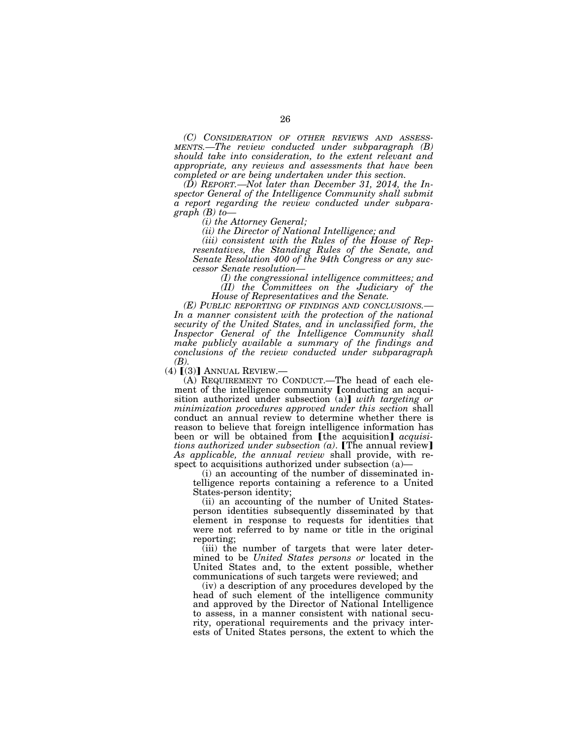*(C) CONSIDERATION OF OTHER REVIEWS AND ASSESS- MENTS.—The review conducted under subparagraph (B) should take into consideration, to the extent relevant and appropriate, any reviews and assessments that have been completed or are being undertaken under this section.* 

*(D) REPORT.—Not later than December 31, 2014, the Inspector General of the Intelligence Community shall submit a report regarding the review conducted under subparagraph (B) to—* 

*(i) the Attorney General;* 

*(ii) the Director of National Intelligence; and* 

*(iii) consistent with the Rules of the House of Representatives, the Standing Rules of the Senate, and Senate Resolution 400 of the 94th Congress or any successor Senate resolution—* 

*(I) the congressional intelligence committees; and (II) the Committees on the Judiciary of the House of Representatives and the Senate.* 

*(E) PUBLIC REPORTING OF FINDINGS AND CONCLUSIONS.— In a manner consistent with the protection of the national security of the United States, and in unclassified form, the Inspector General of the Intelligence Community shall make publicly available a summary of the findings and conclusions of the review conducted under subparagraph* 

*(B).*<br>(4) [(3)] ANNUAL REVIEW.—

(A) REQUIREMENT TO CONDUCT.—The head of each element of the intelligence community *[conducting an acqui*sition authorized under subsection (a)] *with targeting or minimization procedures approved under this section* shall conduct an annual review to determine whether there is reason to believe that foreign intelligence information has been or will be obtained from [the acquisition] *acquisitions authorized under subsection*  $(a)$ *.* [The annual review] *As applicable, the annual review* shall provide, with respect to acquisitions authorized under subsection (a)—

(i) an accounting of the number of disseminated intelligence reports containing a reference to a United States-person identity;

(ii) an accounting of the number of United Statesperson identities subsequently disseminated by that element in response to requests for identities that were not referred to by name or title in the original reporting;

(iii) the number of targets that were later determined to be *United States persons or* located in the United States and, to the extent possible, whether communications of such targets were reviewed; and

(iv) a description of any procedures developed by the head of such element of the intelligence community and approved by the Director of National Intelligence to assess, in a manner consistent with national security, operational requirements and the privacy interests of United States persons, the extent to which the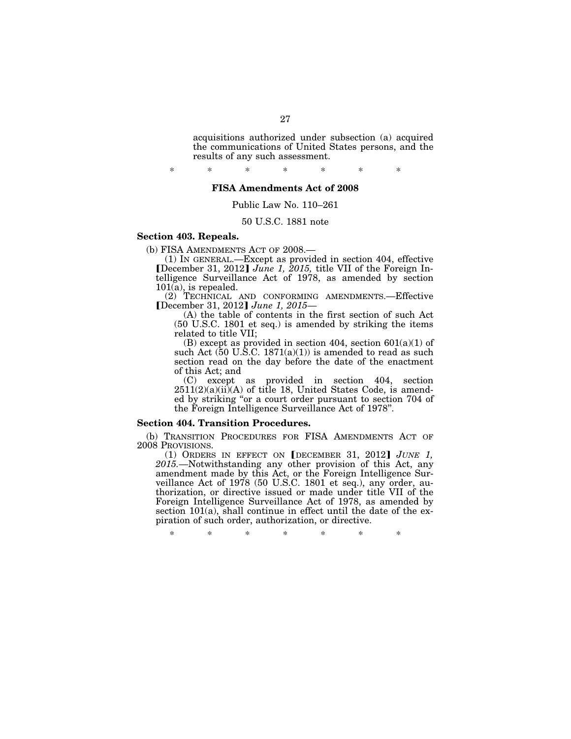acquisitions authorized under subsection (a) acquired the communications of United States persons, and the results of any such assessment.

\* \* \* \* \* \* \*

# **FISA Amendments Act of 2008**

# Public Law No. 110–261

## 50 U.S.C. 1881 note

# **Section 403. Repeals.**

(b) FISA AMENDMENTS ACT OF 2008.—

(1) IN GENERAL.—Except as provided in section 404, effective øDecember 31, 2012¿ *June 1, 2015,* title VII of the Foreign Intelligence Surveillance Act of 1978, as amended by section  $101(a)$ , is repealed.

(2) TECHNICAL AND CONFORMING AMENDMENTS.—Effective [December 31, 2012] June 1, 2015—

(A) the table of contents in the first section of such Act (50 U.S.C. 1801 et seq.) is amended by striking the items related to title VII;

(B) except as provided in section 404, section  $601(a)(1)$  of such Act  $(50 \text{ U}.\text{S}.\text{C}.\ 1871(a)(1))$  is amended to read as such section read on the day before the date of the enactment of this Act; and

(C) except as provided in section 404, section  $2511(2)(a)(ii)(A)$  of title 18, United States Code, is amended by striking ''or a court order pursuant to section 704 of the Foreign Intelligence Surveillance Act of 1978''.

#### **Section 404. Transition Procedures.**

(b) TRANSITION PROCEDURES FOR FISA AMENDMENTS ACT OF 2008 PROVISIONS.

(1) ORDERS IN EFFECT ON  $[$ DECEMBER 31, 2012 $]$  *JUNE 1*, *2015.*—Notwithstanding any other provision of this Act, any amendment made by this Act, or the Foreign Intelligence Surveillance Act of 1978 (50 U.S.C. 1801 et seq.), any order, authorization, or directive issued or made under title VII of the Foreign Intelligence Surveillance Act of 1978, as amended by section 101(a), shall continue in effect until the date of the expiration of such order, authorization, or directive.

\* \* \* \* \* \* \*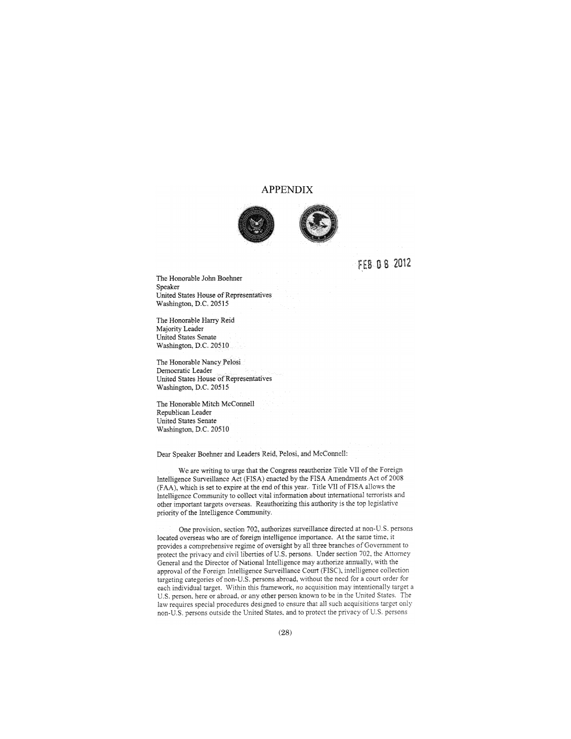# **APPENDIX**



FEB 08 2012

The Honorable John Boehner Speaker United States House of Representatives Washington, D.C. 20515

The Honorable Harry Reid Majority Leader United States Senate Washington, D.C. 20510

The Honorable Nancy Pelosi Democratic Leader United States House of Representatives Washington, D.C. 20515

The Honorable Mitch McConnell Republican Leader United States Senate Washington, D.C. 20510

Dear Speaker Boehner and Leaders Reid, Pelosi, and McConnell:

We are writing to urge that the Congress reauthorize Title VII of the Foreign Intelligence Surveillance Act (FISA) enacted by the FISA Amendments Act of 2008 (FAA), which is set to expire at the end of this year. Title VII of FISA allows the Intelligence Community to collect vital information about international terrorists and other important targets overseas. Reauthorizing this authority is the top legislative priority of the Intelligence Community.

One provision, section 702, authorizes surveillance directed at non-U.S. persons located overseas who are of foreign intelligence importance. At the same time, it provides a comprehensive regime of oversight by all three branches of Government to protect the privacy and civil liberties of U.S. persons. Under section 702, the Attorney General and the Director of National Intelligence may authorize annually, with the approval of the Foreign Intelligence Surveillance Court (FISC), intelligence collection targeting categories of non-U.S. persons abroad, without the need for a court order for each individual target. Within this framework, no acquisition may intentionally target a U.S. person, here or abroad, or any other person known to be in the United States. The law requires special procedures designed to ensure that all such acquisitions target only non-U.S. persons outside the United States, and to protect the privacy of U.S. persons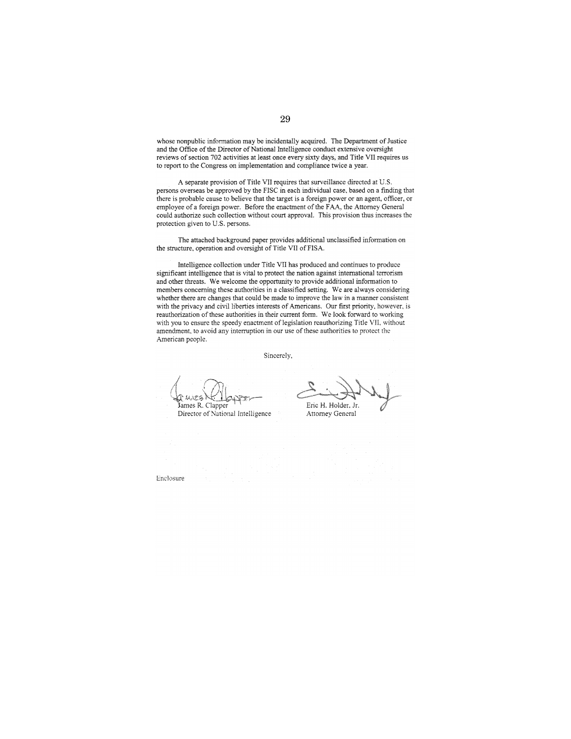whose nonpublic information may be incidentally acquired. The Department of Justice and the Office of the Director of National Intelligence conduct extensive oversight reviews of section 702 activities at least once every sixty days, and Title VII requires us to report to the Congress on implementation and compliance twice a year.

A separate provision of Title VII requires that surveillance directed at U.S. persons overseas be approved by the FISC in each individual case, based on a finding that there is probable cause to believe that the target is a foreign power or an agent, officer, or employee of a foreign power. Before the enactment of the FAA, the Attorney General could authorize such collection without court approval. This provision thus increases the protection given to U.S. persons.

The attached background paper provides additional unclassified information on the structure, operation and oversight of Title VII of FISA.

Intelligence collection under Title VII has produced and continues to produce significant intelligence that is vital to protect the nation against international terrorism and other threats. We welcome the opportunity to provide additional information to members concerning these authorities in a classified setting. We are always considering whether there are changes that could be made to improve the law in a manner consistent with the privacy and civil liberties interests of Americans. Our first priority, however, is reauthorization of these authorities in their current form. We look forward to working with you to ensure the speedy enactment of legislation reauthorizing Title VII, without amendment, to avoid any interruption in our use of these authorities to protect the American people.

Sincerely,

James R. Clapper

Director of National Intelligence

Eric H. Holder, Jr.

Attorney General

Enclosure<sup>®</sup>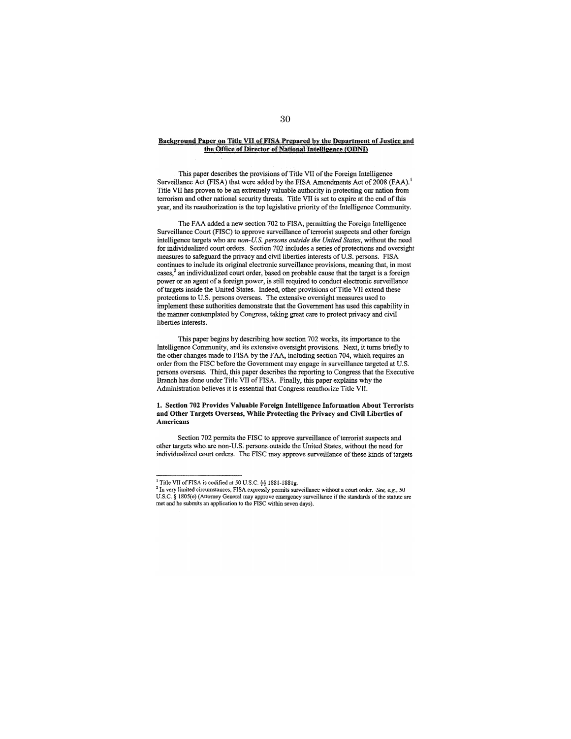#### Background Paper on Title VII of FISA Prepared by the Department of Justice and the Office of Director of National Intelligence (ODNI)

This paper describes the provisions of Title VII of the Foreign Intelligence Surveillance Act (FISA) that were added by the FISA Amendments Act of 2008 (FAA).<sup>1</sup> Title VII has proven to be an extremely valuable authority in protecting our nation from terrorism and other national security threats. Title VII is set to expire at the end of this year, and its reauthorization is the top legislative priority of the Intelligence Community.

The FAA added a new section 702 to FISA, permitting the Foreign Intelligence Surveillance Court (FISC) to approve surveillance of terrorist suspects and other foreign intelligence targets who are non-U.S. persons outside the United States, without the need for individualized court orders. Section 702 includes a series of protections and oversight measures to safeguard the privacy and civil liberties interests of U.S. persons. FISA continues to include its original electronic surveillance provisions, meaning that, in most cases,<sup>2</sup> an individualized court order, based on probable cause that the target is a foreign power or an agent of a foreign power, is still required to conduct electronic surveillance of targets inside the United States. Indeed, other provisions of Title VII extend these protections to U.S. persons overseas. The extensive oversight measures used to implement these authorities demonstrate that the Government has used this capability in the manner contemplated by Congress, taking great care to protect privacy and civil liberties interests.

This paper begins by describing how section 702 works, its importance to the Intelligence Community, and its extensive oversight provisions. Next, it turns briefly to the other changes made to FISA by the FAA, including section 704, which requires an order from the FISC before the Government may engage in surveillance targeted at U.S. persons overseas. Third, this paper describes the reporting to Congress that the Executive Branch has done under Title VII of FISA. Finally, this paper explains why the Administration believes it is essential that Congress reauthorize Title VII.

#### 1. Section 702 Provides Valuable Foreign Intelligence Information About Terrorists and Other Targets Overseas, While Protecting the Privacy and Civil Liberties of **Americans**

Section 702 permits the FISC to approve surveillance of terrorist suspects and other targets who are non-U.S. persons outside the United States, without the need for individualized court orders. The FISC may approve surveillance of these kinds of targets

<sup>&</sup>lt;sup>1</sup> Title VII of FISA is codified at 50 U.S.C. §§ 1881-1881g.

<sup>&</sup>lt;sup>2</sup> In very limited circumstances, FISA expressly permits surveillance without a court order. See, e.g., 50 U.S.C. § 1805(e) (Attorney General may approve emergency surveillance if the standards of the statute are met and he submits an application to the FISC within seven days).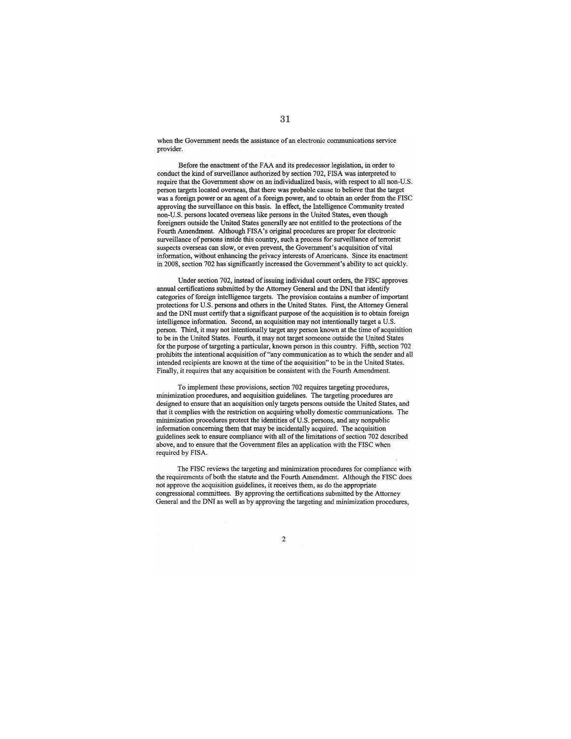when the Government needs the assistance of an electronic communications service provider.

Before the enactment of the FAA and its predecessor legislation, in order to conduct the kind of surveillance authorized by section 702. FISA was interpreted to require that the Government show on an individualized basis, with respect to all non-U.S. person targets located overseas, that there was probable cause to believe that the target was a foreign power or an agent of a foreign power, and to obtain an order from the FISC approving the surveillance on this basis. In effect, the Intelligence Community treated non-U.S. persons located overseas like persons in the United States, even though foreigners outside the United States generally are not entitled to the protections of the Fourth Amendment. Although FISA's original procedures are proper for electronic surveillance of persons inside this country, such a process for surveillance of terrorist suspects overseas can slow, or even prevent, the Government's acquisition of vital information, without enhancing the privacy interests of Americans. Since its enactment in 2008, section 702 has significantly increased the Government's ability to act quickly.

Under section 702, instead of issuing individual court orders, the FISC approves annual certifications submitted by the Attorney General and the DNI that identify categories of foreign intelligence targets. The provision contains a number of important protections for U.S. persons and others in the United States. First, the Attorney General and the DNI must certify that a significant purpose of the acquisition is to obtain foreign intelligence information. Second, an acquisition may not intentionally target a U.S. person. Third, it may not intentionally target any person known at the time of acquisition to be in the United States. Fourth, it may not target someone outside the United States for the purpose of targeting a particular, known person in this country. Fifth, section 702 prohibits the intentional acquisition of "any communication as to which the sender and all intended recipients are known at the time of the acquisition" to be in the United States. Finally, it requires that any acquisition be consistent with the Fourth Amendment.

To implement these provisions, section 702 requires targeting procedures, minimization procedures, and acquisition guidelines. The targeting procedures are designed to ensure that an acquisition only targets persons outside the United States, and that it complies with the restriction on acquiring wholly domestic communications. The minimization procedures protect the identities of U.S. persons, and any nonpublic information concerning them that may be incidentally acquired. The acquisition guidelines seek to ensure compliance with all of the limitations of section 702 described above, and to ensure that the Government files an application with the FISC when required by FISA.

The FISC reviews the targeting and minimization procedures for compliance with the requirements of both the statute and the Fourth Amendment. Although the FISC does not approve the acquisition guidelines, it receives them, as do the appropriate congressional committees. By approving the certifications submitted by the Attorney General and the DNI as well as by approving the targeting and minimization procedures,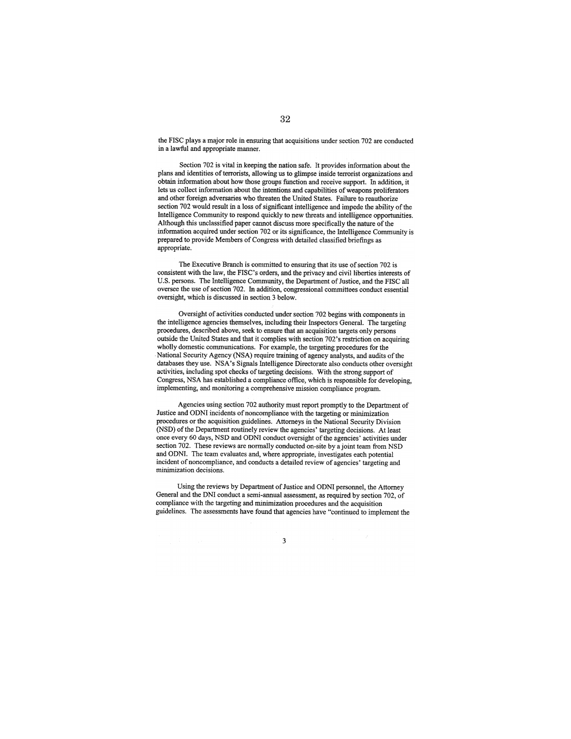the FISC plays a major role in ensuring that acquisitions under section 702 are conducted in a lawful and appropriate manner.

Section 702 is vital in keeping the nation safe. It provides information about the plans and identities of terrorists, allowing us to glimpse inside terrorist organizations and obtain information about how those groups function and receive support. In addition, it lets us collect information about the intentions and capabilities of weapons proliferators and other foreign adversaries who threaten the United States. Failure to reauthorize section 702 would result in a loss of significant intelligence and impede the ability of the Intelligence Community to respond quickly to new threats and intelligence opportunities. Although this unclassified paper cannot discuss more specifically the nature of the information acquired under section 702 or its significance, the Intelligence Community is prepared to provide Members of Congress with detailed classified briefings as appropriate.

The Executive Branch is committed to ensuring that its use of section 702 is consistent with the law, the FISC's orders, and the privacy and civil liberties interests of U.S. persons. The Intelligence Community, the Department of Justice, and the FISC all oversee the use of section 702. In addition, congressional committees conduct essential oversight, which is discussed in section 3 below.

Oversight of activities conducted under section 702 begins with components in the intelligence agencies themselves, including their Inspectors General. The targeting procedures, described above, seek to ensure that an acquisition targets only persons outside the United States and that it complies with section 702's restriction on acquiring wholly domestic communications. For example, the targeting procedures for the National Security Agency (NSA) require training of agency analysts, and audits of the databases they use. NSA's Signals Intelligence Directorate also conducts other oversight activities, including spot checks of targeting decisions. With the strong support of Congress, NSA has established a compliance office, which is responsible for developing. implementing, and monitoring a comprehensive mission compliance program.

Agencies using section 702 authority must report promptly to the Department of Justice and ODNI incidents of noncompliance with the targeting or minimization procedures or the acquisition guidelines. Attorneys in the National Security Division (NSD) of the Department routinely review the agencies' targeting decisions. At least once every 60 days, NSD and ODNI conduct oversight of the agencies' activities under section 702. These reviews are normally conducted on-site by a joint team from NSD and ODNI. The team evaluates and, where appropriate, investigates each potential incident of noncompliance, and conducts a detailed review of agencies' targeting and minimization decisions.

Using the reviews by Department of Justice and ODNI personnel, the Attorney General and the DNI conduct a semi-annual assessment, as required by section 702, of compliance with the targeting and minimization procedures and the acquisition guidelines. The assessments have found that agencies have "continued to implement the

 $\mathbf{3}$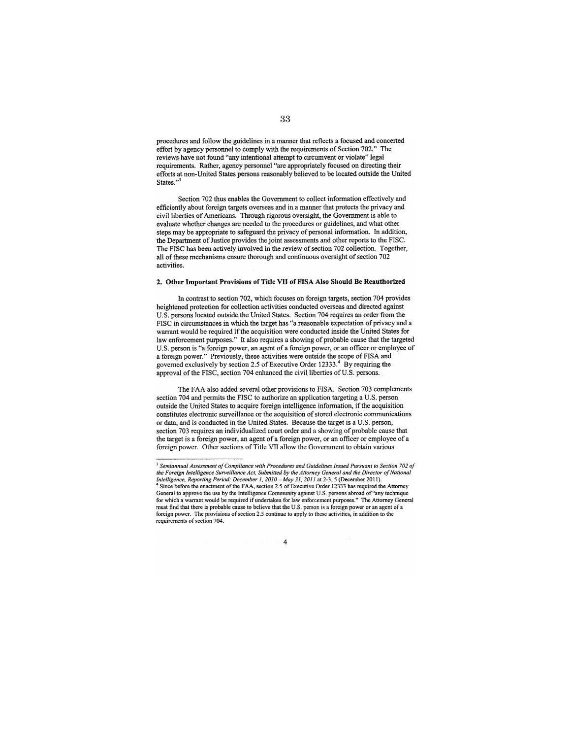procedures and follow the guidelines in a manner that reflects a focused and concerted effort by agency personnel to comply with the requirements of Section 702." The reviews have not found "any intentional attempt to circumvent or violate" legal requirements. Rather, agency personnel "are appropriately focused on directing their efforts at non-United States persons reasonably believed to be located outside the United States." $\frac{3}{3}$ 

Section 702 thus enables the Government to collect information effectively and efficiently about foreign targets overseas and in a manner that protects the privacy and civil liberties of Americans. Through rigorous oversight, the Government is able to evaluate whether changes are needed to the procedures or guidelines, and what other steps may be appropriate to safeguard the privacy of personal information. In addition, the Department of Justice provides the joint assessments and other reports to the FISC. The FISC has been actively involved in the review of section 702 collection. Together, all of these mechanisms ensure thorough and continuous oversight of section 702 activities.

#### 2. Other Important Provisions of Title VII of FISA Also Should Be Reauthorized

In contrast to section 702, which focuses on foreign targets, section 704 provides heightened protection for collection activities conducted overseas and directed against U.S. persons located outside the United States. Section 704 requires an order from the FISC in circumstances in which the target has "a reasonable expectation of privacy and a warrant would be required if the acquisition were conducted inside the United States for law enforcement purposes." It also requires a showing of probable cause that the targeted U.S. person is "a foreign power, an agent of a foreign power, or an officer or employee of a foreign power." Previously, these activities were outside the scope of FISA and governed exclusively by section 2.5 of Executive Order 12333.<sup>4</sup> By requiring the approval of the FISC, section 704 enhanced the civil liberties of U.S. persons.

The FAA also added several other provisions to FISA. Section 703 complements section 704 and permits the FISC to authorize an application targeting a U.S. person outside the United States to acquire foreign intelligence information, if the acquisition constitutes electronic surveillance or the acquisition of stored electronic communications or data, and is conducted in the United States. Because the target is a U.S. person, section 703 requires an individualized court order and a showing of probable cause that the target is a foreign power, an agent of a foreign power, or an officer or employee of a foreign power. Other sections of Title VII allow the Government to obtain various

 $\overline{4}$ 

 $3$  Semiannual Assessment of Compliance with Procedures and Guidelines Issued Pursuant to Section 702 of the Foreign Intelligence Surveillance Act, Submitted by the Attorney General and the Director of National Intelligence, Reporting Period: December 1, 2010 – May 31, 2011 at 2-3, 5 (December 2011). Since before the enactment of the FAA, section 2.5 of Executive Order 12333 has required the Attorney General to approve the use by the Intelligence Community against U.S. persons abroad of "any technique for which a warrant would be required if undertaken for law enforcement purposes." The Attorney General must find that there is probable cause to believe that the U.S. person is a foreign power or an agent of a foreign power. The provisions of section 2.5 continue to apply to these activities, in addition to the requirements of section 704.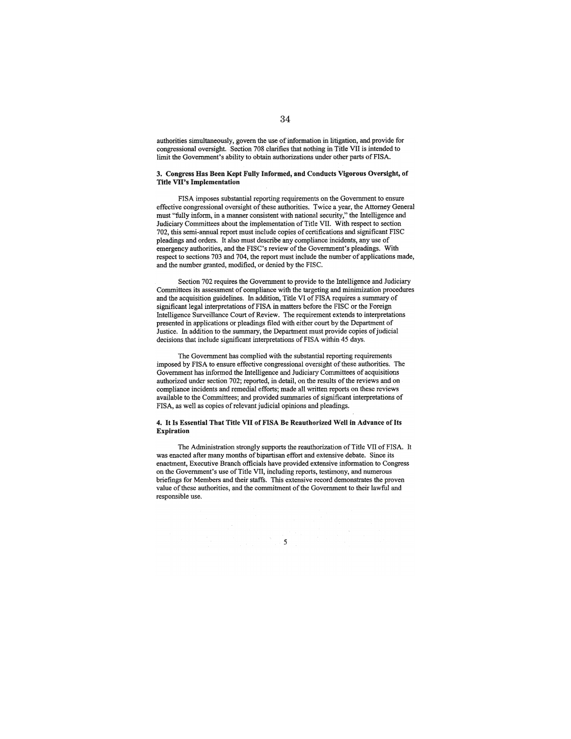authorities simultaneously, govern the use of information in litigation, and provide for congressional oversight. Section 708 clarifies that nothing in Title VII is intended to limit the Government's ability to obtain authorizations under other parts of FISA.

#### 3. Congress Has Been Kept Fully Informed, and Conducts Vigorous Oversight, of Title VII's Implementation

FISA imposes substantial reporting requirements on the Government to ensure effective congressional oversight of these authorities. Twice a year, the Attorney General must "fully inform, in a manner consistent with national security," the Intelligence and Judiciary Committees about the implementation of Title VII. With respect to section 702, this semi-annual report must include copies of certifications and significant FISC pleadings and orders. It also must describe any compliance incidents, any use of emergency authorities, and the FISC's review of the Government's pleadings. With respect to sections 703 and 704, the report must include the number of applications made, and the number granted, modified, or denied by the FISC.

Section 702 requires the Government to provide to the Intelligence and Judiciary Committees its assessment of compliance with the targeting and minimization procedures and the acquisition guidelines. In addition, Title VI of FISA requires a summary of significant legal interpretations of FISA in matters before the FISC or the Foreign Intelligence Surveillance Court of Review. The requirement extends to interpretations presented in applications or pleadings filed with either court by the Department of Justice. In addition to the summary, the Department must provide copies of judicial decisions that include significant interpretations of FISA within 45 days.

The Government has complied with the substantial reporting requirements imposed by FISA to ensure effective congressional oversight of these authorities. The Government has informed the Intelligence and Judiciary Committees of acquisitions authorized under section 702; reported, in detail, on the results of the reviews and on compliance incidents and remedial efforts; made all written reports on these reviews available to the Committees: and provided summaries of significant interpretations of FISA, as well as copies of relevant judicial opinions and pleadings.

#### 4. It Is Essential That Title VII of FISA Be Reauthorized Well in Advance of Its **Expiration**

The Administration strongly supports the reauthorization of Title VII of FISA. It was enacted after many months of bipartisan effort and extensive debate. Since its enactment, Executive Branch officials have provided extensive information to Congress on the Government's use of Title VII, including reports, testimony, and numerous briefings for Members and their staffs. This extensive record demonstrates the proven value of these authorities, and the commitment of the Government to their lawful and responsible use.

 $\sim$   $5$